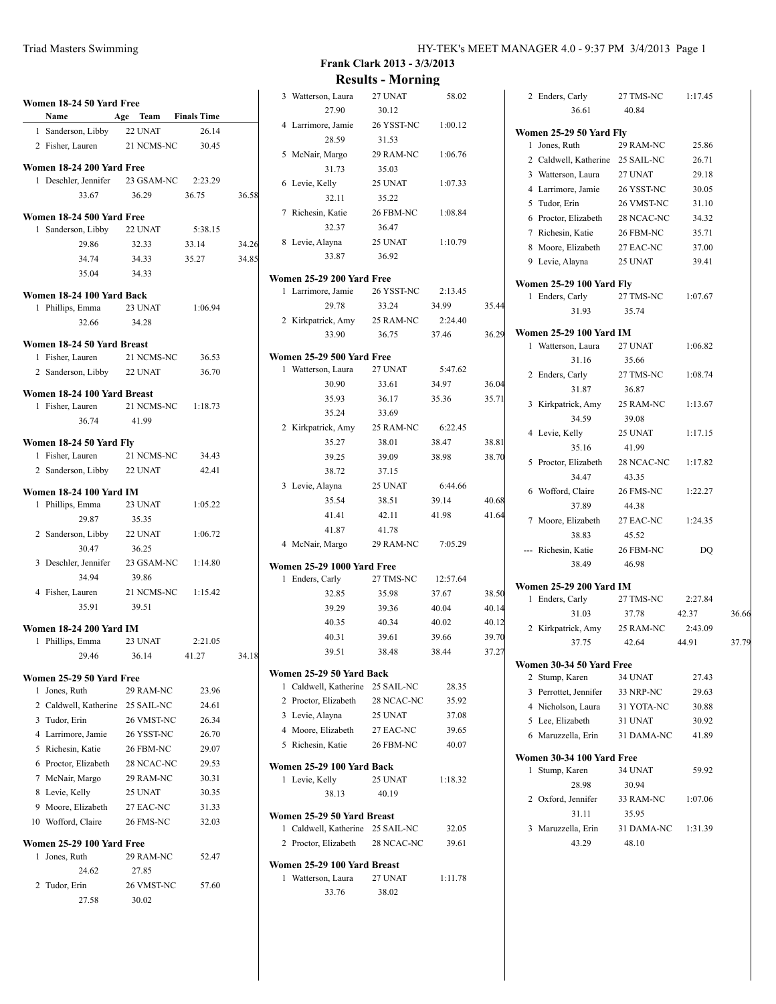| Women 18-24 50 Yard Free<br>Name            |            | <b>Age Team Finals Time</b> |       |
|---------------------------------------------|------------|-----------------------------|-------|
| 1 Sanderson, Libby                          | 22 UNAT    | 26.14                       |       |
| 2 Fisher, Lauren                            | 21 NCMS-NC | 30.45                       |       |
|                                             |            |                             |       |
| Women 18-24 200 Yard Free                   |            | 2:23.29                     |       |
| 1 Deschler, Jennifer 23 GSAM-NC             |            |                             |       |
| 33.67                                       | 36.29      | 36.75                       | 36.58 |
| Women 18-24 500 Yard Free                   |            |                             |       |
| Sanderson, Libby 22 UNAT<br>1               |            | 5:38.15                     |       |
| 29.86                                       | 32.33      | 33.14                       | 34.26 |
| 34.74                                       | 34.33      | 35.27                       | 34.85 |
| 35.04                                       | 34.33      |                             |       |
| Women 18-24 100 Yard Back                   |            |                             |       |
| 1 Phillips, Emma 23 UNAT                    |            | 1:06.94                     |       |
| 32.66                                       | 34.28      |                             |       |
|                                             |            |                             |       |
| Women 18-24 50 Yard Breast                  |            |                             |       |
| 1 Fisher, Lauren                            | 21 NCMS-NC | 36.53                       |       |
| 2 Sanderson, Libby 22 UNAT                  |            | 36.70                       |       |
| Women 18-24 100 Yard Breast                 |            |                             |       |
| 1 Fisher, Lauren                            |            | 21 NCMS-NC 1:18.73          |       |
| 36.74 41.99                                 |            |                             |       |
|                                             |            |                             |       |
| Women 18-24 50 Yard Fly<br>1 Fisher, Lauren | 21 NCMS-NC | 34.43                       |       |
| 2 Sanderson, Libby 22 UNAT                  |            | 42.41                       |       |
|                                             |            |                             |       |
| <b>Women 18-24 100 Yard IM</b>              |            |                             |       |
| Phillips, Emma<br>1                         | 23 UNAT    | 1:05.22                     |       |
| 29.87                                       | 35.35      |                             |       |
| 2 Sanderson, Libby 22 UNAT                  |            | 1:06.72                     |       |
| 30.47                                       | 36.25      |                             |       |
| 3 Deschler, Jennifer 23 GSAM-NC 1:14.80     |            |                             |       |
| 34.94                                       | 39.86      |                             |       |
| 4 Fisher, Lauren                            | 21 NCMS-NC | 1:15.42                     |       |
| 35.91                                       | 39.51      |                             |       |
| <b>Women 18-24 200 Yard IM</b>              |            |                             |       |
| Phillips, Emma<br>1                         | 23 UNAT    | 2:21.05                     |       |
| 29.46                                       | 36.14      | 41.27                       | 34.18 |
|                                             |            |                             |       |
| Women 25-29 50 Yard Free                    |            |                             |       |
| Jones, Ruth<br>1                            | 29 RAM-NC  | 23.96                       |       |
| 2<br>Caldwell, Katherine 25 SAIL-NC         |            | 24.61                       |       |
| 3<br>Tudor, Erin                            | 26 VMST-NC | 26.34                       |       |
| Larrimore, Jamie<br>4                       | 26 YSST-NC | 26.70                       |       |
| Richesin, Katie<br>5                        | 26 FBM-NC  | 29.07                       |       |
| Proctor, Elizabeth<br>6                     | 28 NCAC-NC | 29.53                       |       |
| 7<br>McNair, Margo                          | 29 RAM-NC  | 30.31                       |       |
| Levie, Kelly<br>8                           | 25 UNAT    | 30.35                       |       |
| Moore, Elizabeth<br>9                       | 27 EAC-NC  | 31.33                       |       |
| 10 Wofford, Claire                          | 26 FMS-NC  | 32.03                       |       |
| Women 25-29 100 Yard Free                   |            |                             |       |
| 1<br>Jones, Ruth                            | 29 RAM-NC  | 52.47                       |       |
| 24.62                                       | 27.85      |                             |       |
| Tudor, Erin<br>2                            | 26 VMST-NC | 57.60                       |       |
| 27.58                                       | 30.02      |                             |       |
|                                             |            |                             |       |

|   | 3 Watterson, Laura                                         | 27 UNAT    | 58.02    |       |
|---|------------------------------------------------------------|------------|----------|-------|
|   | 27.90                                                      | 30.12      |          |       |
|   | 4 Larrimore, Jamie                                         | 26 YSST-NC | 1:00.12  |       |
|   | 28.59                                                      | 31.53      |          |       |
|   | 5 McNair, Margo                                            | 29 RAM-NC  | 1:06.76  |       |
|   | 31.73                                                      | 35.03      |          |       |
|   | 6 Levie, Kelly                                             | 25 UNAT    | 1:07.33  |       |
|   | 32.11                                                      | 35.22      |          |       |
|   | 7 Richesin, Katie                                          | 26 FBM-NC  | 1:08.84  |       |
|   | 32.37                                                      | 36.47      |          |       |
|   | 8 Levie, Alayna                                            | 25 UNAT    | 1:10.79  |       |
|   | 33.87                                                      | 36.92      |          |       |
|   |                                                            |            |          |       |
|   | Women 25-29 200 Yard Free                                  |            |          |       |
| 1 | Larrimore, Jamie                                           | 26 YSST-NC | 2:13.45  |       |
|   | 29.78                                                      | 33.24      | 34.99    | 35.44 |
|   | 2 Kirkpatrick, Amy 25 RAM-NC                               |            | 2:24.40  |       |
|   | 33.90                                                      | 36.75      | 37.46    | 36.29 |
|   | Women 25-29 500 Yard Free                                  |            |          |       |
|   | 1 Watterson, Laura                                         | 27 UNAT    | 5:47.62  |       |
|   | 30.90                                                      | 33.61      | 34.97    | 36.04 |
|   | 35.93                                                      | 36.17      | 35.36    | 35.71 |
|   | 35.24                                                      | 33.69      |          |       |
|   | 2 Kirkpatrick, Amy                                         | 25 RAM-NC  | 6:22.45  |       |
|   | 35.27                                                      | 38.01      | 38.47    | 38.81 |
|   | 39.25                                                      | 39.09      | 38.98    | 38.70 |
|   | 38.72                                                      | 37.15      |          |       |
|   | 3 Levie, Alayna                                            | 25 UNAT    | 6:44.66  |       |
|   | 35.54                                                      | 38.51      | 39.14    | 40.68 |
|   | 41.41                                                      | 42.11      | 41.98    | 41.64 |
|   |                                                            |            |          |       |
|   | 41.87                                                      | 41.78      |          |       |
|   | 4 McNair, Margo 29 RAM-NC                                  |            | 7:05.29  |       |
|   | <b>Women 25-29 1000 Yard Free</b>                          |            |          |       |
| 1 | Enders, Carly                                              | 27 TMS-NC  | 12:57.64 |       |
|   | 32.85                                                      | 35.98      | 37.67    | 38.50 |
|   | 39.29                                                      | 39.36      | 40.04    | 40.14 |
|   | 40.35                                                      | 40.34      | 40.02    | 40.12 |
|   | 40.31                                                      | 39.61      | 39.66    | 39.70 |
|   | 39.51                                                      | 38.48      | 38.44    | 37.27 |
|   |                                                            |            |          |       |
| 1 | Women 25-29 50 Yard Back<br>Caldwell, Katherine 25 SAIL-NC |            | 28.35    |       |
|   | 2 Proctor, Elizabeth 28 NCAC-NC                            |            | 35.92    |       |
|   | 3 Levie, Alayna                                            | 25 UNAT    | 37.08    |       |
|   | 4 Moore, Elizabeth                                         | 27 EAC-NC  | 39.65    |       |
|   |                                                            | 26 FBM-NC  |          |       |
|   | 5 Richesin, Katie                                          |            | 40.07    |       |
|   | Women 25-29 100 Yard Back                                  |            |          |       |
|   | 1 Levie, Kelly                                             | 25 UNAT    | 1:18.32  |       |
|   | 38.13                                                      | 40.19      |          |       |
|   | Women 25-29 50 Yard Breast                                 |            |          |       |
|   | 1 Caldwell, Katherine 25 SAIL-NC                           |            | 32.05    |       |
|   | 2 Proctor, Elizabeth 28 NCAC-NC                            |            | 39.61    |       |
|   |                                                            |            |          |       |
|   | Women 25-29 100 Yard Breast                                |            |          |       |
|   | 1 Watterson, Laura 27 UNAT                                 |            | 1:11.78  |       |
|   | 33.76                                                      | 38.02      |          |       |
|   |                                                            |            |          |       |

| 2 Enders, Carly                  | 27 TMS-NC  | 1:17.45 |       |
|----------------------------------|------------|---------|-------|
| 36.61                            | 40.84      |         |       |
| Women 25-29 50 Yard Fly          |            |         |       |
| Jones, Ruth<br>1                 | 29 RAM-NC  | 25.86   |       |
| 2 Caldwell, Katherine 25 SAIL-NC |            | 26.71   |       |
| 3 Watterson, Laura               | 27 UNAT    | 29.18   |       |
| 4 Larrimore, Jamie               | 26 YSST-NC | 30.05   |       |
| 5 Tudor, Erin                    | 26 VMST-NC | 31.10   |       |
| 6 Proctor, Elizabeth             | 28 NCAC-NC | 34.32   |       |
| 7 Richesin, Katie                | 26 FBM-NC  | 35.71   |       |
| 8 Moore, Elizabeth 27 EAC-NC     |            | 37.00   |       |
| 9 Levie, Alayna                  | 25 UNAT    | 39.41   |       |
| <b>Women 25-29 100 Yard Fly</b>  |            |         |       |
| 1 Enders, Carly                  | 27 TMS-NC  | 1:07.67 |       |
| 31.93                            | 35.74      |         |       |
| <b>Women 25-29 100 Yard IM</b>   |            |         |       |
| 1 Watterson, Laura               | 27 UNAT    | 1:06.82 |       |
| 31.16                            | 35.66      |         |       |
| 2 Enders, Carly                  | 27 TMS-NC  | 1:08.74 |       |
| 31.87                            | 36.87      |         |       |
| 3 Kirkpatrick, Amy               | 25 RAM-NC  | 1:13.67 |       |
| 34.59                            | 39.08      |         |       |
| 4 Levie, Kelly                   | 25 UNAT    | 1:17.15 |       |
| 35.16                            | 41.99      |         |       |
| 5 Proctor, Elizabeth             | 28 NCAC-NC | 1:17.82 |       |
| 34.47                            | 43.35      |         |       |
| 6 Wofford, Claire                | 26 FMS-NC  | 1:22.27 |       |
| 37.89                            | 44.38      |         |       |
| 7 Moore, Elizabeth               | 27 EAC-NC  | 1:24.35 |       |
| 38.83                            | 45.52      |         |       |
| --- Richesin, Katie 26 FBM-NC    |            | DO      |       |
| 38.49                            | 46.98      |         |       |
| <b>Women 25-29 200 Yard IM</b>   |            |         |       |
| 1 Enders, Carly                  | 27 TMS-NC  | 2:27.84 |       |
| 31.03                            | 37.78      | 42.37   | 36.66 |
| 2 Kirkpatrick, Amy 25 RAM-NC     |            | 2:43.09 |       |
| 37.75                            | 42.64      | 44.91   | 37.79 |
| Women 30-34 50 Yard Free         |            |         |       |
| Stump, Karen<br>2                | 34 UNAT    | 27.43   |       |
| 3 Perrottet, Jennifer            | 33 NRP-NC  | 29.63   |       |
| 4 Nicholson, Laura               | 31 YOTA-NC | 30.88   |       |
| 5 Lee, Elizabeth                 | 31 UNAT    | 30.92   |       |
| 6 Maruzzella, Erin               | 31 DAMA-NC | 41.89   |       |
| Women 30-34 100 Yard Free        |            |         |       |
| Stump, Karen<br>1                | 34 UNAT    | 59.92   |       |
| 28.98                            | 30.94      |         |       |
| 2 Oxford, Jennifer               | 33 RAM-NC  | 1:07.06 |       |
| 31.11                            | 35.95      |         |       |
| 3 Maruzzella, Erin               | 31 DAMA-NC | 1:31.39 |       |
| 43.29                            | 48.10      |         |       |
|                                  |            |         |       |
|                                  |            |         |       |
|                                  |            |         |       |
|                                  |            |         |       |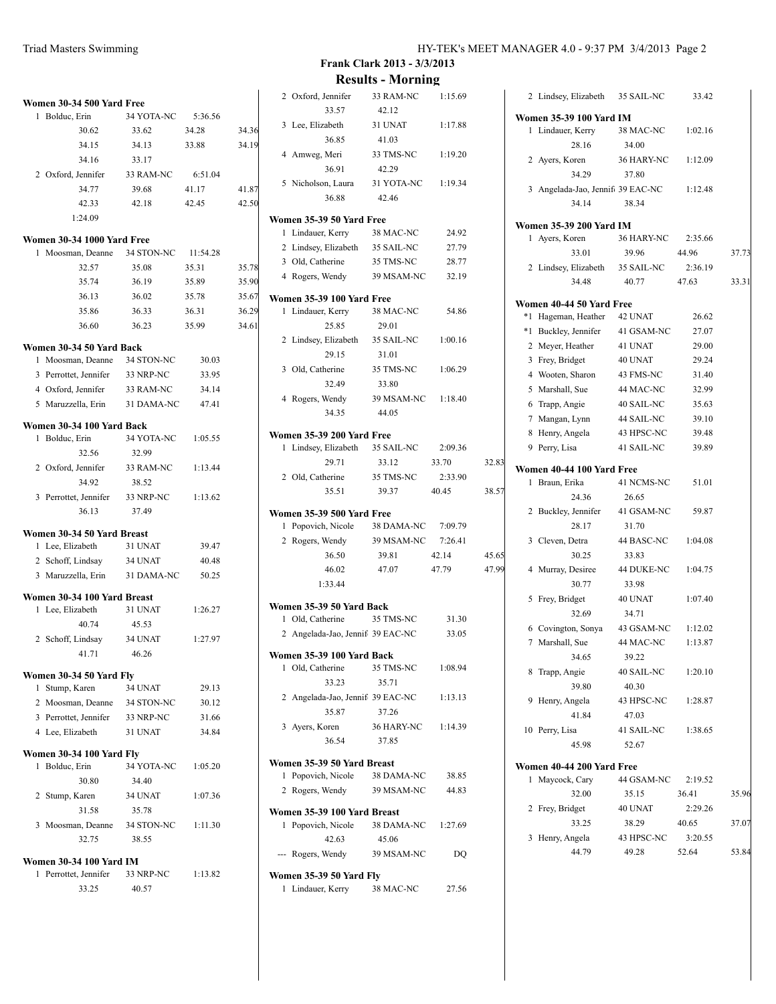| Women 30-34 500 Yard Free       |                     |         |       |
|---------------------------------|---------------------|---------|-------|
| 1<br>Bolduc, Erin               | 34 YOTA-NC          | 5:36.56 |       |
| 30.62                           | 33.62               | 34.28   | 34.36 |
| 34.15                           | 34.13               | 33.88   | 34.19 |
| 34.16                           | 33.17               |         |       |
| 2 Oxford, Jennifer              | 33 RAM-NC           | 6:51.04 |       |
| 34.77                           | 39.68               | 41.17   | 41.87 |
| 42.33                           | 42.18               | 42.45   | 42.50 |
| 1:24.09                         |                     |         |       |
| Women 30-34 1000 Yard Free      |                     |         |       |
| Moosman, Deanne<br>1            | 34 STON-NC 11:54.28 |         |       |
| 32.57                           | 35.08               | 35.31   | 35.78 |
| 35.74                           | 36.19               | 35.89   | 35.90 |
| 36.13                           | 36.02               | 35.78   | 35.67 |
| 35.86                           | 36.33               | 36.31   | 36.29 |
| 36.60                           | 36.23               | 35.99   | 34.61 |
| Women 30-34 50 Yard Back        |                     |         |       |
| Moosman, Deanne<br>1            | 34 STON-NC          | 30.03   |       |
| 3 Perrottet, Jennifer           | 33 NRP-NC           | 33.95   |       |
| 4 Oxford, Jennifer              | 33 RAM-NC           | 34.14   |       |
| 5 Maruzzella, Erin              | 31 DAMA-NC          | 47.41   |       |
| Women 30-34 100 Yard Back       |                     |         |       |
| Bolduc, Erin<br>1               | 34 YOTA-NC          | 1:05.55 |       |
| 32.56                           | 32.99               |         |       |
| 2 Oxford, Jennifer              | 33 RAM-NC           | 1:13.44 |       |
| 34.92                           | 38.52               |         |       |
| 3 Perrottet, Jennifer           | 33 NRP-NC           | 1:13.62 |       |
| 36.13                           | 37.49               |         |       |
| Women 30-34 50 Yard Breast      |                     |         |       |
| 1 Lee, Elizabeth                | 31 UNAT             | 39.47   |       |
| 2 Schoff, Lindsay               | 34 UNAT             | 40.48   |       |
| 3 Maruzzella, Erin              | 31 DAMA-NC          | 50.25   |       |
| Women 30-34 100 Yard Breast     |                     |         |       |
| Lee, Elizabeth<br>1             | 31 UNAT             | 1:26.27 |       |
| 40.74                           | 45.53               |         |       |
| 2 Schoff, Lindsay               | 34 UNAT             | 1:27.97 |       |
| 41.71                           | 46.26               |         |       |
| Women 30-34 50 Yard Fly         |                     |         |       |
| Stump, Karen<br>1               | 34 UNAT             | 29.13   |       |
| 2 Moosman, Deanne 34 STON-NC    |                     | 30.12   |       |
| 3 Perrottet, Jennifer 33 NRP-NC |                     | 31.66   |       |
| 4 Lee, Elizabeth                | 31 UNAT             | 34.84   |       |
| <b>Women 30-34 100 Yard Fly</b> |                     |         |       |
| Bolduc, Erin<br>1               | 34 YOTA-NC          | 1:05.20 |       |
| 30.80                           | 34.40               |         |       |
| 2 Stump, Karen                  | 34 UNAT             | 1:07.36 |       |
| 31.58                           | 35.78               |         |       |
| 3 Moosman, Deanne 34 STON-NC    |                     | 1:11.30 |       |
| 32.75                           | 38.55               |         |       |
| <b>Women 30-34 100 Yard IM</b>  |                     |         |       |
| Perrottet, Jennifer<br>1        | 33 NRP-NC           | 1:13.82 |       |
| 33.25                           | 40.57               |         |       |

|   | 2 Oxford, Jennifer                                          | 33 RAM-NC  | 1:15.69 |
|---|-------------------------------------------------------------|------------|---------|
|   | 33.57                                                       | 42.12      |         |
|   | 3 Lee, Elizabeth                                            | 31 UNAT    | 1:17.88 |
|   | 36.85                                                       | 41.03      |         |
|   | 4 Amweg, Meri                                               | 33 TMS-NC  | 1:19.20 |
|   | 36.91                                                       | 42.29      |         |
|   | 5 Nicholson, Laura                                          | 31 YOTA-NC | 1:19.34 |
|   | 36.88                                                       | 42.46      |         |
|   |                                                             |            |         |
|   | Women 35-39 50 Yard Free                                    |            |         |
| 1 | Lindauer, Kerry                                             | 38 MAC-NC  | 24.92   |
|   | 2 Lindsey, Elizabeth 35 SAIL-NC                             |            | 27.79   |
|   | 3 Old, Catherine                                            | 35 TMS-NC  | 28.77   |
|   | 4 Rogers, Wendy                                             | 39 MSAM-NC | 32.19   |
|   |                                                             |            |         |
|   | Women 35-39 100 Yard Free                                   |            |         |
|   | 1 Lindauer, Kerry                                           | 38 MAC-NC  | 54.86   |
|   | 25.85                                                       | 29.01      |         |
|   | 2 Lindsey, Elizabeth 35 SAIL-NC                             |            | 1:00.16 |
|   | 29.15                                                       | 31.01      |         |
|   | 3 Old, Catherine 35 TMS-NC                                  |            | 1:06.29 |
|   | 32.49                                                       | 33.80      |         |
|   | 4 Rogers, Wendy 39 MSAM-NC 1:18.40                          |            |         |
|   | 34.35                                                       | 44.05      |         |
|   | Women 35-39 200 Yard Free                                   |            |         |
| 1 | Lindsey, Elizabeth 35 SAIL-NC                               |            | 2:09.36 |
|   | 29.71                                                       | 33.12      | 33.70   |
|   | 2 Old, Catherine 35 TMS-NC                                  |            | 2:33.90 |
|   | 35.51                                                       | 39.37      | 40.45   |
|   |                                                             |            |         |
|   | Women 35-39 500 Yard Free                                   |            |         |
| 1 | Popovich, Nicole                                            | 38 DAMA-NC | 7:09.79 |
|   | 2 Rogers, Wendy                                             | 39 MSAM-NC | 7:26.41 |
|   | 36.50                                                       | 39.81      | 42.14   |
|   | 46.02                                                       | 47.07      | 47.79   |
|   | 1:33.44                                                     |            |         |
|   | Women 35-39 50 Yard Back                                    |            |         |
|   | 1 Old, Catherine                                            | 35 TMS-NC  | 31.30   |
|   | 2 Angelada-Jao, Jennif 39 EAC-NC                            |            | 33.05   |
|   |                                                             |            |         |
|   | Women 35-39 100 Yard Back                                   |            |         |
|   | 1 Old, Catherine                                            | 35 TMS-NC  | 1:08.94 |
|   | 33.23                                                       | 35.71      |         |
|   | 2 Angelada-Jao, Jennif 39 EAC-NC                            |            | 1:13.13 |
|   | 35.87                                                       | 37.26      |         |
|   | 3 Ayers, Koren 36 HARY-NC 1:14.39                           |            |         |
|   | 36.54                                                       | 37.85      |         |
|   |                                                             |            |         |
|   | Women 35-39 50 Yard Breast<br>1 Popovich, Nicole 38 DAMA-NC |            | 38.85   |
|   | 2 Rogers, Wendy                                             | 39 MSAM-NC |         |
|   |                                                             |            | 44.83   |
|   | Women 35-39 100 Yard Breast                                 |            |         |
|   | 1 Popovich, Nicole 38 DAMA-NC 1:27.69                       |            |         |
|   | 42.63                                                       | 45.06      |         |
|   | --- Rogers, Wendy 39 MSAM-NC                                |            | DQ      |
|   | Women 35-39 50 Yard Fly                                     |            |         |
|   | 1 Lindauer, Kerry 38 MAC-NC                                 |            | 27.56   |
|   |                                                             |            |         |

32.83

38.57

45.65 47.99

|      | 2 Lindsey, Elizabeth 35 SAIL-NC              |                     | 33.42   |       |
|------|----------------------------------------------|---------------------|---------|-------|
|      | <b>Women 35-39 100 Yard IM</b>               |                     |         |       |
| 1    | Lindauer, Kerry                              | 38 MAC-NC           | 1:02.16 |       |
|      | 28.16                                        | 34.00               |         |       |
|      | 2 Ayers, Koren                               | 36 HARY-NC          | 1:12.09 |       |
|      | 34.29                                        | 37.80               |         |       |
|      | 3 Angelada-Jao, Jennif 39 EAC-NC             |                     | 1:12.48 |       |
|      | 34.14                                        | 38.34               |         |       |
|      | <b>Women 35-39 200 Yard IM</b>               |                     |         |       |
| 1    | Ayers, Koren                                 | 36 HARY-NC          | 2:35.66 |       |
|      | 33.01                                        | 39.96               | 44.96   | 37.73 |
|      | 2 Lindsey, Elizabeth 35 SAIL-NC              |                     | 2:36.19 |       |
|      | 34.48                                        | 40.77               | 47.63   | 33.31 |
|      |                                              |                     |         |       |
| $*1$ | Women 40-44 50 Yard Free<br>Hageman, Heather | 42 UNAT             | 26.62   |       |
|      | *1 Buckley, Jennifer                         | 41 GSAM-NC          | 27.07   |       |
|      | 2 Meyer, Heather                             | 41 UNAT             | 29.00   |       |
|      | 3 Frey, Bridget                              | 40 UNAT             | 29.24   |       |
|      | 4 Wooten, Sharon                             | 43 FMS-NC           | 31.40   |       |
|      | 5 Marshall, Sue                              | 44 MAC-NC           | 32.99   |       |
|      | 6 Trapp, Angie                               | 40 SAIL-NC          | 35.63   |       |
|      | 7 Mangan, Lynn                               | 44 SAIL-NC          | 39.10   |       |
|      | 8 Henry, Angela                              | 43 HPSC-NC          | 39.48   |       |
|      | 9 Perry, Lisa                                | 41 SAIL-NC          | 39.89   |       |
|      |                                              |                     |         |       |
|      | Women 40-44 100 Yard Free                    |                     |         |       |
| 1    | Braun, Erika                                 | 41 NCMS-NC          | 51.01   |       |
|      | 24.36                                        | 26.65               |         |       |
|      | 2 Buckley, Jennifer                          | 41 GSAM-NC          | 59.87   |       |
|      | 28.17                                        | 31.70               |         |       |
|      | 3 Cleven, Detra<br>30.25                     | 44 BASC-NC          | 1:04.08 |       |
|      | 4 Murray, Desiree                            | 33.83<br>44 DUKE-NC | 1:04.75 |       |
|      | 30.77                                        | 33.98               |         |       |
|      | 5 Frey, Bridget                              | 40 UNAT             | 1:07.40 |       |
|      | 32.69                                        | 34.71               |         |       |
|      | 6 Covington, Sonya 43 GSAM-NC 1:12.02        |                     |         |       |
|      | 7 Marshall, Sue                              | 44 MAC-NC           | 1:13.87 |       |
|      | 34.65                                        | 39.22               |         |       |
| 8    | Trapp, Angie                                 | 40 SAIL-NC          | 1:20.10 |       |
|      | 39.80                                        | 40.30               |         |       |
|      | 9 Henry, Angela                              | 43 HPSC-NC          | 1:28.87 |       |
|      | 41.84                                        | 47.03               |         |       |
|      | 10 Perry, Lisa                               | 41 SAIL-NC          | 1:38.65 |       |
|      | 45.98                                        | 52.67               |         |       |
|      | Women 40-44 200 Yard Free                    |                     |         |       |
| 1    | Maycock, Cary                                | 44 GSAM-NC          | 2:19.52 |       |
|      | 32.00                                        | 35.15               | 36.41   | 35.96 |
|      | 2 Frey, Bridget                              | 40 UNAT             | 2:29.26 |       |
|      | 33.25                                        | 38.29               | 40.65   | 37.07 |
|      | 3 Henry, Angela                              | 43 HPSC-NC          | 3:20.55 |       |
|      | 44.79                                        | 49.28               | 52.64   | 53.84 |
|      |                                              |                     |         |       |
|      |                                              |                     |         |       |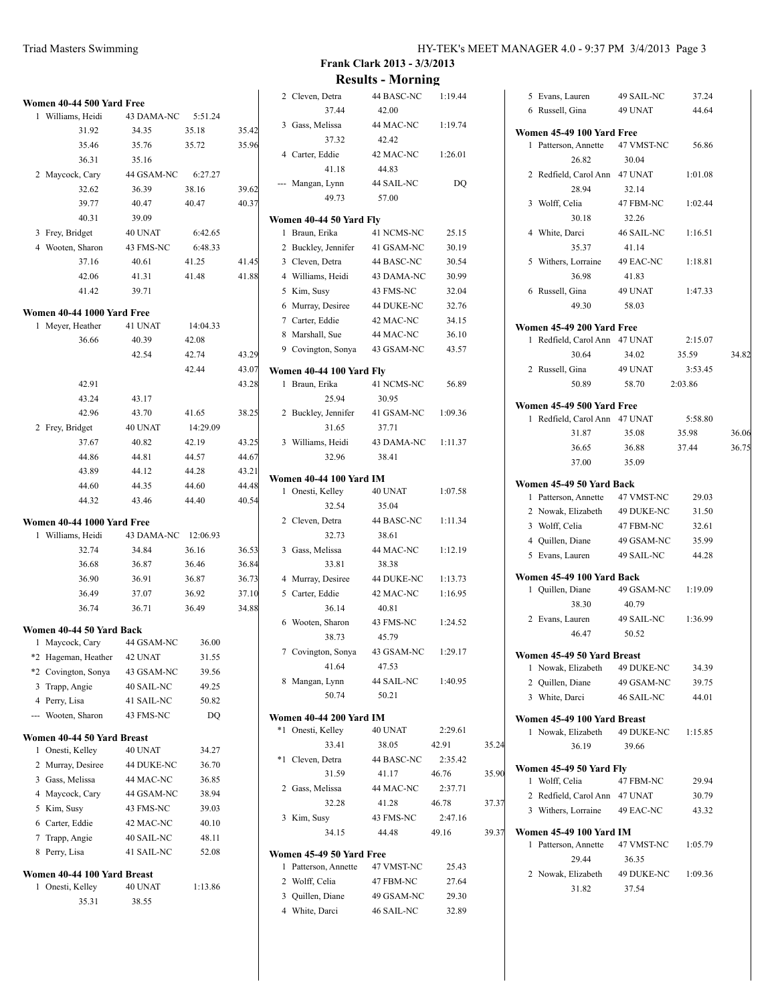|   | Women 40-44 500 Yard Free           |                         |             |       |
|---|-------------------------------------|-------------------------|-------------|-------|
| 1 | Williams, Heidi                     | 43 DAMA-NC 5:51.24      |             |       |
|   | 31.92                               | 34.35                   | 35.18       | 35.42 |
|   | 35.46                               | 35.76                   | 35.72       | 35.96 |
|   | 36.31                               | 35.16                   |             |       |
|   | 2 Maycock, Cary                     | 44 GSAM-NC 6:27.27      |             |       |
|   | 32.62                               | 36.39                   | 38.16       | 39.62 |
|   | 39.77                               | 40.47                   | 40.47       | 40.37 |
|   | 40.31                               | 39.09                   |             |       |
|   | 3 Frey, Bridget                     | 40 UNAT                 | 6:42.65     |       |
|   | 4 Wooten, Sharon                    | 43 FMS-NC               | 6:48.33     |       |
|   | 37.16                               | 40.61                   | 41.25       | 41.45 |
|   | 42.06                               | 41.31                   | 41.48       | 41.88 |
|   | 41.42                               | 39.71                   |             |       |
|   | Women 40-44 1000 Yard Free          |                         |             |       |
| 1 | Meyer, Heather                      | 41 UNAT                 | 14:04.33    |       |
|   | 36.66                               | 40.39                   | 42.08       |       |
|   |                                     | 42.54                   | 42.74       | 43.29 |
|   |                                     |                         | 42.44       | 43.07 |
|   | 42.91                               |                         |             | 43.28 |
|   | 43.24                               | 43.17                   |             |       |
|   | 42.96                               | 43.70                   | 41.65       | 38.25 |
|   | 2 Frey, Bridget                     | 40 UNAT                 | 14:29.09    |       |
|   | 37.67                               | 40.82                   | 42.19       | 43.25 |
|   | 44.86                               | 44.81                   | 44.57       | 44.67 |
|   | 43.89                               | 44.12                   | 44.28       | 43.21 |
|   | 44.60                               | 44.35                   | 44.60       | 44.48 |
|   | 44.32                               | 43.46                   | 44.40       | 40.54 |
|   | Women 40-44 1000 Yard Free          |                         |             |       |
|   | 1 Williams, Heidi                   | 43 DAMA-NC 12:06.93     |             |       |
|   | 32.74                               | 34.84                   | 36.16       | 36.53 |
|   | 36.68                               | 36.87                   | 36.46       | 36.84 |
|   | 36.90                               | 36.91                   | 36.87       | 36.73 |
|   | 36.49                               | 37.07                   | 36.92       | 37.10 |
|   | 36.74                               | 36.71                   | 36.49       | 34.88 |
|   | Women 40-44 50 Yard Back            |                         |             |       |
| 1 | Maycock, Cary                       | 44 GSAM-NC              | 36.00       |       |
|   | *2 Hageman, Heather                 | 42 UNAT                 | 31.55       |       |
|   | *2 Covington, Sonya                 | 43 GSAM-NC              | 39.56       |       |
|   | 3 Trapp, Angie                      | 40 SAIL-NC              | 49.25       |       |
|   | 4 Perry, Lisa<br>--- Wooten, Sharon | 41 SAIL-NC<br>43 FMS-NC | 50.82<br>DO |       |
|   | Women 40-44 50 Yard Breast          |                         |             |       |
| 1 | Onesti, Kelley                      | 40 UNAT                 | 34.27       |       |
|   | 2 Murray, Desiree                   | 44 DUKE-NC              | 36.70       |       |
|   | 3 Gass, Melissa                     | 44 MAC-NC               | 36.85       |       |
|   | 4 Maycock, Cary                     | 44 GSAM-NC              | 38.94       |       |
|   | 5 Kim, Susy                         | 43 FMS-NC               | 39.03       |       |
|   | 6 Carter, Eddie                     | 42 MAC-NC               | 40.10       |       |
|   | 7 Trapp, Angie                      | 40 SAIL-NC              | 48.11       |       |
| 8 | Perry, Lisa                         | 41 SAIL-NC              | 52.08       |       |
|   | Women 40-44 100 Yard Breast         |                         |             |       |
| 1 | Onesti, Kelley                      | 40 UNAT                 | 1:13.86     |       |
|   | 35.31                               | 38.55                   |             |       |

| 2 Cleven, Detra<br>37.44                   | 44 BASC-NC 1:19.44<br>42.00 |         |       |
|--------------------------------------------|-----------------------------|---------|-------|
| 3 Gass, Melissa                            | 44 MAC-NC                   | 1:19.74 |       |
| 37.32                                      | 42.42                       |         |       |
| 4 Carter, Eddie                            | 42 MAC-NC                   | 1:26.01 |       |
| 41.18                                      | 44.83                       |         |       |
| --- Mangan, Lynn                           | 44 SAIL-NC                  | DQ      |       |
| 49.73                                      | 57.00                       |         |       |
| Women 40-44 50 Yard Fly                    |                             |         |       |
| Braun, Erika<br>1                          | 41 NCMS-NC                  | 25.15   |       |
| 2 Buckley, Jennifer                        | 41 GSAM-NC                  | 30.19   |       |
| 3 Cleven, Detra                            | 44 BASC-NC                  | 30.54   |       |
| 4 Williams, Heidi                          | 43 DAMA-NC                  | 30.99   |       |
| 5 Kim, Susy                                | 43 FMS-NC                   | 32.04   |       |
| 6 Murray, Desiree                          | 44 DUKE-NC                  | 32.76   |       |
| 7 Carter, Eddie                            | 42 MAC-NC                   | 34.15   |       |
| 8 Marshall, Sue 44 MAC-NC                  |                             | 36.10   |       |
| 9 Covington, Sonya 43 GSAM-NC              |                             | 43.57   |       |
|                                            |                             |         |       |
| Women 40-44 100 Yard Fly<br>1 Braun, Erika | 41 NCMS-NC                  | 56.89   |       |
| 25.94                                      | 30.95                       |         |       |
| 2 Buckley, Jennifer 41 GSAM-NC             |                             | 1:09.36 |       |
| 31.65                                      | 37.71                       |         |       |
| 3 Williams, Heidi                          | 43 DAMA-NC 1:11.37          |         |       |
| 32.96                                      | 38.41                       |         |       |
|                                            |                             |         |       |
| Women 40-44 100 Yard IM                    |                             |         |       |
| 1<br>Onesti, Kelley                        | 40 UNAT                     | 1:07.58 |       |
| 32.54                                      | 35.04                       |         |       |
| 2 Cleven, Detra                            | 44 BASC-NC                  | 1:11.34 |       |
| 32.73                                      | 38.61                       |         |       |
| 3 Gass, Melissa                            | 44 MAC-NC                   | 1:12.19 |       |
| 33.81                                      | 38.38                       |         |       |
| 4 Murray, Desiree                          | 44 DUKE-NC                  | 1:13.73 |       |
| 5 Carter, Eddie                            | 42 MAC-NC                   | 1:16.95 |       |
| 36.14                                      | 40.81                       |         |       |
| 6 Wooten, Sharon 43 FMS-NC                 |                             | 1:24.52 |       |
| 38.73                                      | 45.79                       |         |       |
| 7 Covington, Sonya                         | 43 GSAM-NC                  | 1:29.17 |       |
| 41.64                                      | 47.53                       |         |       |
| 8 Mangan, Lynn                             | 44 SAIL-NC                  | 1:40.95 |       |
| 50.74                                      | 50.21                       |         |       |
| <b>Women 40-44 200 Yard IM</b>             |                             |         |       |
| *1<br>Onesti, Kelley                       | 40 UNAT                     | 2:29.61 |       |
| 33.41                                      | 38.05                       | 42.91   | 35.24 |
| $*1$<br>Cleven, Detra                      | 44 BASC-NC                  | 2:35.42 |       |
| 31.59                                      | 41.17                       | 46.76   | 35.90 |
| 2 Gass, Melissa                            | 44 MAC-NC                   | 2:37.71 |       |
| 32.28                                      | 41.28                       | 46.78   | 37.37 |
| 3 Kim, Susy                                | 43 FMS-NC                   | 2:47.16 |       |
| 34.15                                      | 44.48                       | 49.16   | 39.37 |
| Women 45-49 50 Yard Free                   |                             |         |       |
| 1 Patterson, Annette                       | 47 VMST-NC                  | 25.43   |       |
| 2 Wolff, Celia                             | 47 FBM-NC                   | 27.64   |       |
| 3 Quillen, Diane                           | 49 GSAM-NC                  | 29.30   |       |
| 4 White, Darci                             | 46 SAIL-NC                  | 32.89   |       |

|   | 5 Evans, Lauren                                             | 49 SAIL-NC         | 37.24   |       |
|---|-------------------------------------------------------------|--------------------|---------|-------|
|   | 6 Russell, Gina                                             | 49 UNAT            | 44.64   |       |
|   | Women 45-49 100 Yard Free                                   |                    |         |       |
|   | 1 Patterson, Annette 47 VMST-NC 56.86                       |                    |         |       |
|   | 26.82                                                       | 30.04              |         |       |
|   | 2 Redfield, Carol Ann 47 UNAT                               |                    | 1:01.08 |       |
|   | 28.94                                                       | 32.14              |         |       |
|   | 3 Wolff, Celia                                              | 47 FBM-NC          | 1:02.44 |       |
|   | 30.18                                                       | 32.26              |         |       |
|   | 4 White, Darci                                              | 46 SAIL-NC         | 1:16.51 |       |
|   | 35.37                                                       | 41.14              |         |       |
|   | 5 Withers, Lorraine                                         | 49 EAC-NC          | 1:18.81 |       |
|   | 36.98                                                       | 41.83              |         |       |
|   | 6 Russell, Gina                                             | 49 UNAT            | 1:47.33 |       |
|   | 49.30                                                       | 58.03              |         |       |
|   |                                                             |                    |         |       |
|   | Women 45-49 200 Yard Free                                   |                    |         |       |
| 1 | Redfield, Carol Ann 47 UNAT                                 |                    | 2:15.07 |       |
|   | 30.64                                                       | 34.02              | 35.59   | 34.82 |
|   | 2 Russell, Gina                                             | 49 UNAT            | 3:53.45 |       |
|   | 50.89                                                       | 58.70              | 2:03.86 |       |
|   | Women 45-49 500 Yard Free                                   |                    |         |       |
|   | 1 Redfield, Carol Ann 47 UNAT                               |                    | 5:58.80 |       |
|   | 31.87                                                       | 35.08              | 35.98   | 36.06 |
|   | 36.65                                                       | 36.88              | 37.44   | 36.75 |
|   | 37.00                                                       | 35.09              |         |       |
|   |                                                             |                    |         |       |
|   | Women 45-49 50 Yard Back<br>1 Patterson, Annette 47 VMST-NC |                    | 29.03   |       |
|   | 2 Nowak, Elizabeth 49 DUKE-NC                               |                    | 31.50   |       |
|   | 3 Wolff, Celia                                              | 47 FBM-NC          | 32.61   |       |
|   | 4 Quillen, Diane 49 GSAM-NC                                 |                    | 35.99   |       |
|   | 5 Evans, Lauren 49 SAIL-NC                                  |                    | 44.28   |       |
|   |                                                             |                    |         |       |
|   | Women 45-49 100 Yard Back                                   |                    |         |       |
|   | 1 Quillen, Diane                                            | 49 GSAM-NC 1:19.09 |         |       |
|   | 38.30                                                       | 40.79              |         |       |
|   | 2 Evans, Lauren                                             | 49 SAIL-NC         | 1:36.99 |       |
|   | 46.47                                                       | 50.52              |         |       |
|   | Women 45-49 50 Yard Breast                                  |                    |         |       |
|   | 1 Nowak, Elizabeth                                          | 49 DUKE-NC         | 34.39   |       |
|   | 2 Quillen, Diane                                            | 49 GSAM-NC         | 39.75   |       |
|   | 3 White, Darci                                              | 46 SAIL-NC         | 44.01   |       |
|   |                                                             |                    |         |       |
|   | Women 45-49 100 Yard Breast<br>1 Nowak, Elizabeth           | 49 DUKE-NC 1:15.85 |         |       |
|   | 36.19                                                       | 39.66              |         |       |
|   |                                                             |                    |         |       |
|   | Women 45-49 50 Yard Fly                                     |                    |         |       |
|   | 1 Wolff, Celia                                              | 47 FBM-NC          | 29.94   |       |
|   | 2 Redfield, Carol Ann 47 UNAT                               |                    | 30.79   |       |
|   | 3 Withers, Lorraine 49 EAC-NC                               |                    | 43.32   |       |
|   | <b>Women 45-49 100 Yard IM</b>                              |                    |         |       |
|   | 1 Patterson, Annette 47 VMST-NC                             |                    | 1:05.79 |       |
|   | 29.44                                                       | 36.35              |         |       |
|   | 2 Nowak, Elizabeth 49 DUKE-NC                               |                    | 1:09.36 |       |
|   | 31.82                                                       | 37.54              |         |       |
|   |                                                             |                    |         |       |
|   |                                                             |                    |         |       |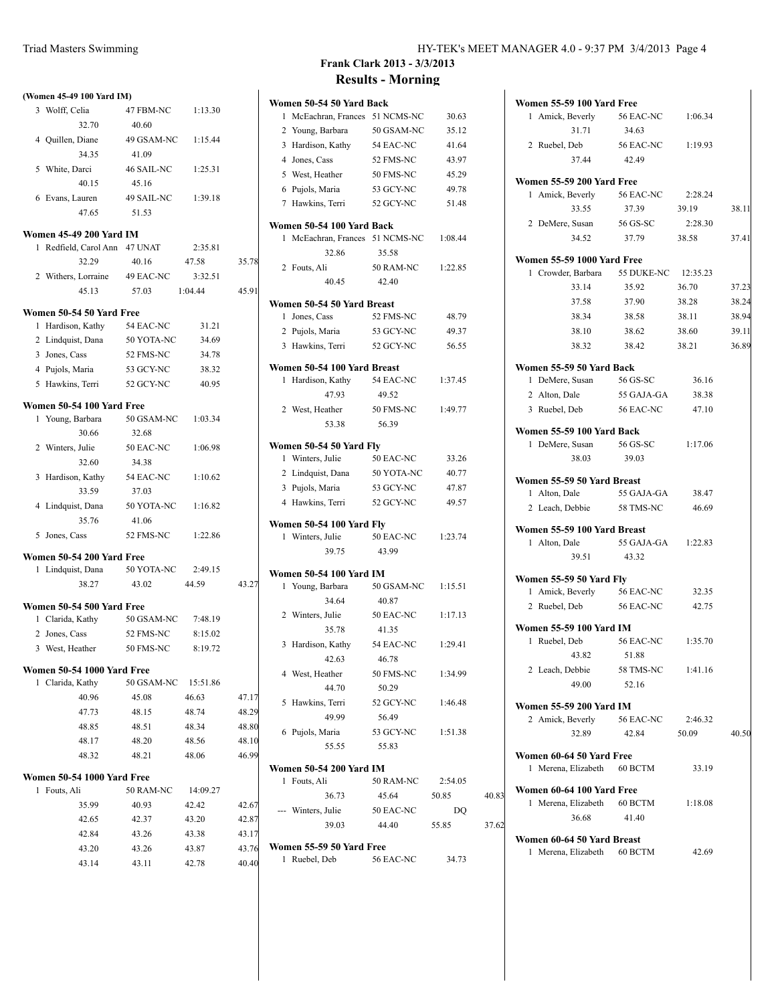|   | (Women 45-49 100 Yard IM)                      |                   |          |       |
|---|------------------------------------------------|-------------------|----------|-------|
|   | 3 Wolff, Celia                                 | 47 FBM-NC 1:13.30 |          |       |
|   | 32.70                                          | 40.60             |          |       |
|   | 4 Quillen, Diane                               | 49 GSAM-NC        | 1:15.44  |       |
|   | 34.35                                          | 41.09             |          |       |
|   | 5 White, Darci                                 | 46 SAIL-NC        | 1:25.31  |       |
|   | 40.15                                          | 45.16             |          |       |
|   | 6 Evans, Lauren                                | 49 SAIL-NC        | 1:39.18  |       |
|   | 47.65                                          | 51.53             |          |       |
|   | Women 45-49 200 Yard IM                        |                   |          |       |
|   | 1 Redfield, Carol Ann 47 UNAT                  |                   | 2:35.81  |       |
|   | 32.29                                          | 40.16             | 47.58    | 35.78 |
|   | 2 Withers, Lorraine 49 EAC-NC                  |                   | 3:32.51  |       |
|   | 45.13                                          | 57.03 1:04.44     |          | 45.91 |
|   | Women 50-54 50 Yard Free                       |                   |          |       |
| 1 | Hardison, Kathy                                | 54 EAC-NC         | 31.21    |       |
|   | 2 Lindquist, Dana 50 YOTA-NC                   |                   | 34.69    |       |
|   | 3 Jones, Cass                                  | 52 FMS-NC         | 34.78    |       |
|   | 4 Pujols, Maria 53 GCY-NC                      |                   | 38.32    |       |
|   | 5 Hawkins, Terri 52 GCY-NC                     |                   | 40.95    |       |
|   |                                                |                   |          |       |
| 1 | Women 50-54 100 Yard Free<br>Young, Barbara    | 50 GSAM-NC        | 1:03.34  |       |
|   | 30.66                                          | 32.68             |          |       |
|   | 2 Winters, Julie                               | 50 EAC-NC         | 1:06.98  |       |
|   | 32.60                                          | 34.38             |          |       |
|   | 3 Hardison, Kathy 54 EAC-NC                    |                   | 1:10.62  |       |
|   | 33.59                                          | 37.03             |          |       |
|   | 4 Lindquist, Dana 50 YOTA-NC                   |                   | 1:16.82  |       |
|   | 35.76                                          | 41.06             |          |       |
|   | 5 Jones, Cass                                  | 52 FMS-NC         | 1:22.86  |       |
|   |                                                |                   |          |       |
|   | Women 50-54 200 Yard Free<br>1 Lindquist, Dana | 50 YOTA-NC        | 2:49.15  |       |
|   | 38.27                                          | 43.02             | 44.59    | 43.27 |
|   |                                                |                   |          |       |
|   | Women 50-54 500 Yard Free                      |                   |          |       |
|   | 1 Clarida, Kathy 50 GSAM-NC                    |                   | 7:48.19  |       |
|   | 2 Jones, Cass                                  | 52 FMS-NC         | 8:15.02  |       |
| 3 | West, Heather                                  | 50 FMS-NC         | 8:19.72  |       |
|   | <b>Women 50-54 1000 Yard Free</b>              |                   |          |       |
| 1 | Clarida, Kathy                                 | 50 GSAM-NC        | 15:51.86 |       |
|   | 40.96                                          | 45.08             | 46.63    | 47.17 |
|   | 47.73                                          | 48.15             | 48.74    | 48.29 |
|   | 48.85                                          | 48.51             | 48.34    | 48.80 |
|   | 48.17                                          | 48.20             | 48.56    | 48.10 |
|   | 48.32                                          | 48.21             | 48.06    | 46.99 |
|   | Women 50-54 1000 Yard Free                     |                   |          |       |
| 1 | Fouts, Ali                                     | 50 RAM-NC         | 14:09.27 |       |
|   | 35.99                                          | 40.93             | 42.42    | 42.67 |
|   | 42.65                                          | 42.37             | 43.20    | 42.87 |
|   | 42.84                                          | 43.26             | 43.38    | 43.17 |
|   | 43.20                                          | 43.26             | 43.87    | 43.76 |
|   | 43.14                                          | 43.11             | 42.78    | 40.40 |
|   |                                                |                   |          |       |

|                 | Women 50-54 50 Yard Back                       |                    |         |
|-----------------|------------------------------------------------|--------------------|---------|
| 1               | McEachran, Frances 51 NCMS-NC                  |                    | 30.63   |
|                 | 2 Young, Barbara                               | 50 GSAM-NC         | 35.12   |
|                 | 3 Hardison, Kathy                              | 54 EAC-NC          | 41.64   |
|                 | 4 Jones, Cass                                  | 52 FMS-NC          | 43.97   |
|                 | 5 West, Heather                                | 50 FMS-NC          | 45.29   |
|                 | 6 Pujols, Maria                                | 53 GCY-NC          | 49.78   |
| $7\overline{ }$ | Hawkins, Terri                                 | 52 GCY-NC          | 51.48   |
|                 |                                                |                    |         |
|                 | Women 50-54 100 Yard Back                      |                    |         |
| 1               | McEachran, Frances 51 NCMS-NC                  |                    | 1:08.44 |
|                 | 32.86                                          | 35.58              |         |
|                 | 2 Fouts, Ali                                   | <b>50 RAM-NC</b>   | 1:22.85 |
|                 | 40.45                                          | 42.40              |         |
|                 | Women 50-54 50 Yard Breast                     |                    |         |
| 1               | Jones, Cass                                    | 52 FMS-NC          | 48.79   |
|                 | 2 Pujols, Maria                                | 53 GCY-NC          | 49.37   |
|                 | 3 Hawkins, Terri                               | 52 GCY-NC          | 56.55   |
|                 |                                                |                    |         |
| 1               | Women 50-54 100 Yard Breast<br>Hardison, Kathy | 54 EAC-NC          | 1:37.45 |
|                 | 47.93                                          | 49.52              |         |
|                 |                                                |                    |         |
|                 | 2 West, Heather                                | 50 FMS-NC<br>56.39 | 1:49.77 |
|                 | 53.38                                          |                    |         |
|                 | Women 50-54 50 Yard Fly                        |                    |         |
|                 | 1 Winters, Julie                               | 50 EAC-NC          | 33.26   |
|                 | 2 Lindquist, Dana 50 YOTA-NC                   |                    | 40.77   |
|                 | 3 Pujols, Maria                                | 53 GCY-NC          | 47.87   |
|                 | 4 Hawkins, Terri                               | 52 GCY-NC          | 49.57   |
|                 | <b>Women 50-54 100 Yard Fly</b>                |                    |         |
| 1               | Winters, Julie                                 | 50 EAC-NC          | 1:23.74 |
|                 | 39.75                                          | 43.99              |         |
|                 |                                                |                    |         |
|                 | <b>Women 50-54 100 Yard IM</b>                 |                    |         |
| 1               | Young, Barbara                                 | 50 GSAM-NC         | 1:15.51 |
|                 | 34.64                                          | 40.87              |         |
| $\overline{2}$  | Winters, Julie                                 | 50 EAC-NC          | 1:17.13 |
|                 | 35.78                                          | 41.35              |         |
| 3               | Hardison, Kathy                                | 54 EAC-NC          | 1:29.41 |
|                 | 42.63                                          | 46.78              |         |
|                 | 4 West, Heather                                | 50 FMS-NC          | 1:34.99 |
|                 | 44.70                                          | 50.29              |         |
| 5               | Hawkins, Terri                                 | 52 GCY-NC          | 1:46.48 |
|                 | 49.99                                          | 56.49              |         |
|                 | 6 Pujols, Maria                                | 53 GCY-NC          | 1:51.38 |
|                 | 55.55                                          | 55.83              |         |
|                 | <b>Women 50-54 200 Yard IM</b>                 |                    |         |
|                 | 1 Fouts, Ali                                   | 50 RAM-NC          | 2:54.05 |
|                 | 36.73                                          | 45.64              | 50.85   |
|                 | --- Winters, Julie                             | 50 EAC-NC          | DO      |
|                 | 39.03                                          | 44.40              | 55.85   |
|                 |                                                |                    |         |
|                 | Women 55-59 50 Yard Free                       |                    |         |

| /omen 55-59 50 Yard Free |                  |       |
|--------------------------|------------------|-------|
| 1 Ruebel, Deb            | <b>56 EAC-NC</b> | 34.73 |

40.83

37.62

| <b>Women 55-59 100 Yard Free</b>                                            |                    |         |       |
|-----------------------------------------------------------------------------|--------------------|---------|-------|
| 1 Amick, Beverly                                                            | 56 EAC-NC 1:06.34  |         |       |
| 31.71                                                                       | 34.63              |         |       |
| 2 Ruebel, Deb                                                               | <b>56 EAC-NC</b>   | 1:19.93 |       |
| 37.44                                                                       | 42.49              |         |       |
|                                                                             |                    |         |       |
| Women 55-59 200 Yard Free                                                   |                    |         |       |
| 1 Amick, Beverly 56 EAC-NC 2:28.24                                          |                    |         |       |
| 33.55                                                                       | 37.39              | 39.19   | 38.11 |
| 2 DeMere, Susan 56 GS-SC                                                    |                    | 2:28.30 |       |
| 34.52                                                                       | 37.79              | 38.58   | 37.41 |
|                                                                             |                    |         |       |
| <b>Women 55-59 1000 Yard Free</b><br>1 Crowder, Barbara 55 DUKE-NC 12:35.23 |                    |         |       |
|                                                                             |                    |         |       |
| 33.14                                                                       | 35.92              | 36.70   | 37.23 |
| 37.58                                                                       | 37.90              | 38.28   | 38.24 |
| 38.34                                                                       | 38.58              | 38.11   | 38.94 |
| 38.10                                                                       | 38.62              | 38.60   | 39.11 |
| 38.32                                                                       | 38.42              | 38.21   | 36.89 |
| Women 55-59 50 Yard Back                                                    |                    |         |       |
| 1 DeMere, Susan 56 GS-SC                                                    |                    | 36.16   |       |
| 2 Alton, Dale                                                               | 55 GAJA-GA         | 38.38   |       |
| 3 Ruebel, Deb                                                               | <b>56 EAC-NC</b>   | 47.10   |       |
|                                                                             |                    |         |       |
| Women 55-59 100 Yard Back                                                   |                    |         |       |
| 1 DeMere, Susan                                                             | 56 GS-SC           | 1:17.06 |       |
| 38.03                                                                       | 39.03              |         |       |
| Women 55-59 50 Yard Breast                                                  |                    |         |       |
| 1 Alton, Dale                                                               | 55 GAJA-GA         | 38.47   |       |
| 2 Leach, Debbie 58 TMS-NC                                                   |                    | 46.69   |       |
|                                                                             |                    |         |       |
| Women 55-59 100 Yard Breast                                                 |                    |         |       |
| 1 Alton, Dale                                                               | 55 GAJA-GA 1:22.83 |         |       |
| 39.51                                                                       | 43.32              |         |       |
|                                                                             |                    |         |       |
| Women 55-59 50 Yard Fly<br>1 Amick, Beverly 56 EAC-NC                       |                    | 32.35   |       |
|                                                                             |                    |         |       |
| 2 Ruebel, Deb 56 EAC-NC                                                     |                    | 42.75   |       |
| Women 55-59 100 Yard IM                                                     |                    |         |       |
| 1 Ruebel, Deb                                                               | <b>56 EAC-NC</b>   | 1:35.70 |       |
| 43.82 51.88                                                                 |                    |         |       |
| 2 Leach, Debbie                                                             | 58 TMS-NC 1:41.16  |         |       |
| 49.00                                                                       | 52.16              |         |       |
|                                                                             |                    |         |       |
| <b>Women 55-59 200 Yard IM</b>                                              |                    |         |       |
| 2 Amick, Beverly 56 EAC-NC 2:46.32                                          |                    |         |       |
| 32.89                                                                       | 42.84              | 50.09   | 40.50 |
| Women 60-64 50 Yard Free                                                    |                    |         |       |
| 1 Merena, Elizabeth 60 BCTM                                                 |                    | 33.19   |       |
|                                                                             |                    |         |       |
| Women 60-64 100 Yard Free                                                   |                    |         |       |
| 1 Merena, Elizabeth 60 BCTM 1:18.08                                         |                    |         |       |
| 36.68                                                                       | 41.40              |         |       |
| Women 60-64 50 Yard Breast                                                  |                    |         |       |
| 1 Merena, Elizabeth 60 BCTM                                                 |                    | 42.69   |       |
|                                                                             |                    |         |       |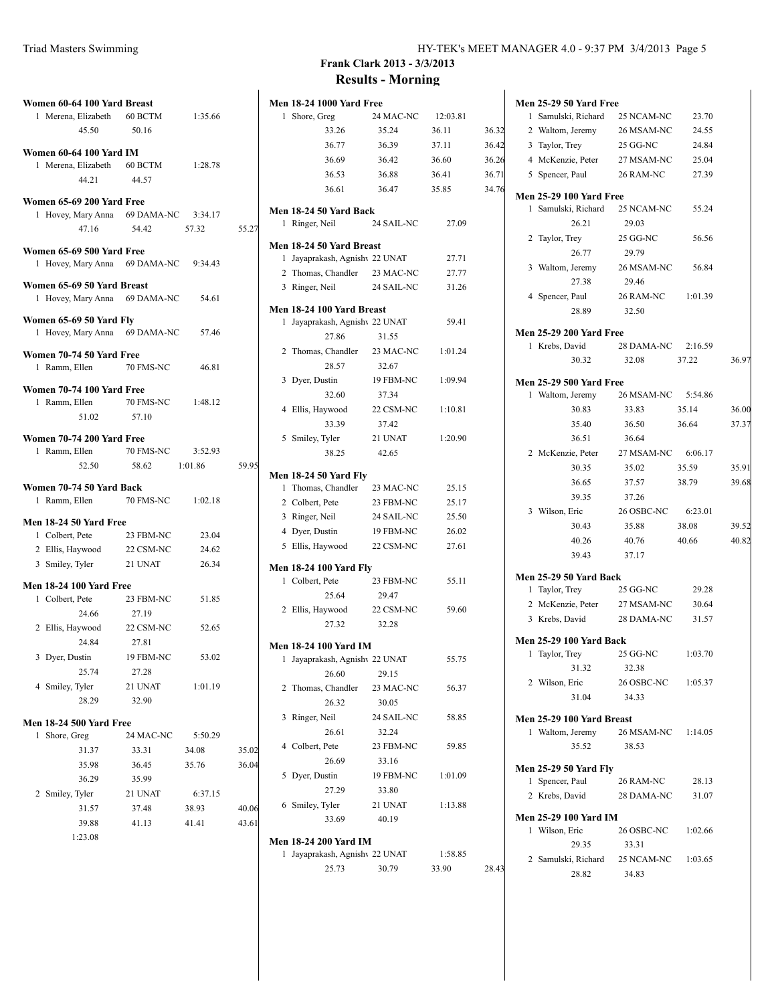| Women 60-64 100 Yard Breast<br>1 Merena, Elizabeth 60 BCTM<br>45.50                        | 50.16                              | 1:35.66                   |                |
|--------------------------------------------------------------------------------------------|------------------------------------|---------------------------|----------------|
| <b>Women 60-64 100 Yard IM</b><br>1 Merena, Elizabeth 60 BCTM 1:28.78<br>44.21 44.57       |                                    |                           |                |
| Women 65-69 200 Yard Free<br>Hovey, Mary Anna 69 DAMA-NC 3:34.17<br>1<br>47.16             | 54.42                              | 57.32                     | 55.27          |
| Women 65-69 500 Yard Free<br>1 Hovey, Mary Anna 69 DAMA-NC 9:34.43                         |                                    |                           |                |
| Women 65-69 50 Yard Breast<br>Hovey, Mary Anna 69 DAMA-NC 54.61                            |                                    |                           |                |
| Women 65-69 50 Yard Fly<br>1 Hovey, Mary Anna 69 DAMA-NC 57.46                             |                                    |                           |                |
| Women 70-74 50 Yard Free<br>1 Ramm, Ellen                                                  | 70 FMS-NC                          | 46.81                     |                |
| Women 70-74 100 Yard Free<br>1 Ramm, Ellen<br>51.02                                        | 70 FMS-NC 1:48.12<br>57.10         |                           |                |
| Women 70-74 200 Yard Free<br>1 Ramm, Ellen<br>52.50                                        | 70 FMS-NC 3:52.93<br>58.62 1:01.86 |                           | 59.95          |
| Women 70-74 50 Yard Back<br>1 Ramm, Ellen                                                  | 70 FMS-NC 1:02.18                  |                           |                |
| Men 18-24 50 Yard Free<br>1 Colbert, Pete<br>2 Ellis, Haywood 22 CSM-NC<br>3 Smiley, Tyler | 23 FBM-NC<br>21 UNAT               | 23.04<br>24.62<br>26.34   |                |
| <b>Men 18-24 100 Yard Free</b>                                                             |                                    |                           |                |
| 1 Colbert, Pete<br>24.66                                                                   | 23 FBM-NC<br>27.19                 | 51.85                     |                |
| 2 Ellis, Haywood 22 CSM-NC<br>24.84                                                        | 27.81                              | 52.65                     |                |
| 3 Dyer, Dustin<br>25.74                                                                    | 19 FBM-NC<br>27.28                 | 53.02                     |                |
| 4 Smiley, Tyler<br>28.29                                                                   | 21 UNAT<br>32.90                   | 1:01.19                   |                |
| <b>Men 18-24 500 Yard Free</b><br>1                                                        | 24 MAC-NC                          |                           |                |
| Shore, Greg<br>31.37<br>35.98<br>36.29                                                     | 33.31<br>36.45<br>35.99            | 5:50.29<br>34.08<br>35.76 | 35.02<br>36.04 |
| 2<br>Smiley, Tyler<br>31.57                                                                | 21 UNAT<br>37.48                   | 6:37.15<br>38.93          | 40.06          |
| 39.88<br>1:23.08                                                                           | 41.13                              | 41.41                     | 43.61          |

| <b>Men 18-24 1000 Yard Free</b>                            |            |          |       |
|------------------------------------------------------------|------------|----------|-------|
| 1<br>Shore, Greg                                           | 24 MAC-NC  | 12:03.81 |       |
| 33.26                                                      | 35.24      | 36.11    | 36.32 |
| 36.77                                                      | 36.39      | 37.11    | 36.42 |
| 36.69                                                      | 36.42      | 36.60    | 36.26 |
| 36.53                                                      | 36.88      | 36.41    | 36.71 |
| 36.61                                                      | 36.47      | 35.85    | 34.76 |
| Men 18-24 50 Yard Back<br>Ringer, Neil<br>1                | 24 SAIL-NC | 27.09    |       |
|                                                            |            |          |       |
| Men 18-24 50 Yard Breast<br>1 Jayaprakash, Agnishv 22 UNAT |            | 27.71    |       |
| 2 Thomas, Chandler 23 MAC-NC                               |            | 27.77    |       |
| 3 Ringer, Neil                                             | 24 SAIL-NC | 31.26    |       |
|                                                            |            |          |       |
| Men 18-24 100 Yard Breast                                  |            | 59.41    |       |
| Jayaprakash, Agnishv 22 UNAT<br>1                          |            |          |       |
| 27.86                                                      | 31.55      |          |       |
| 2 Thomas, Chandler 23 MAC-NC                               |            | 1:01.24  |       |
| 28.57                                                      | 32.67      |          |       |
| 3 Dyer, Dustin                                             | 19 FBM-NC  | 1:09.94  |       |
| 32.60                                                      | 37.34      |          |       |
| 4 Ellis, Haywood                                           | 22 CSM-NC  | 1:10.81  |       |
| 33.39                                                      | 37.42      |          |       |
| 5 Smiley, Tyler                                            | 21 UNAT    | 1:20.90  |       |
| 38.25                                                      | 42.65      |          |       |
| <b>Men 18-24 50 Yard Fly</b>                               |            |          |       |
| Thomas, Chandler 23 MAC-NC<br>1                            |            | 25.15    |       |
| 2 Colbert, Pete                                            | 23 FBM-NC  | 25.17    |       |
| 3 Ringer, Neil                                             | 24 SAIL-NC | 25.50    |       |
| 4 Dyer, Dustin                                             | 19 FBM-NC  | 26.02    |       |
| 5 Ellis, Haywood                                           | 22 CSM-NC  | 27.61    |       |
| <b>Men 18-24 100 Yard Fly</b>                              |            |          |       |
| Colbert, Pete<br>1                                         | 23 FBM-NC  | 55.11    |       |
| 25.64                                                      | 29.47      |          |       |
| 2 Ellis, Haywood                                           | 22 CSM-NC  | 59.60    |       |
| 27.32                                                      | 32.28      |          |       |
| <b>Men 18-24 100 Yard IM</b>                               |            |          |       |
| 1 Jayaprakash, Agnishv 22 UNAT                             |            | 55.75    |       |
| 26.60                                                      | 29.15      |          |       |
| 2 Thomas, Chandler 23 MAC-NC                               |            | 56.37    |       |
| 26.32                                                      | 30.05      |          |       |
| 3 Ringer, Neil                                             | 24 SAIL-NC | 58.85    |       |
| 26.61                                                      | 32.24      |          |       |
| 4 Colbert, Pete                                            |            |          |       |
|                                                            | 23 FBM-NC  | 59.85    |       |
| 26.69                                                      | 33.16      |          |       |
| 5 Dyer, Dustin                                             | 19 FBM-NC  | 1:01.09  |       |
| 27.29                                                      | 33.80      |          |       |
| 6 Smiley, Tyler                                            | 21 UNAT    | 1:13.88  |       |
| 33.69                                                      | 40.19      |          |       |
| <b>Men 18-24 200 Yard IM</b>                               |            |          |       |
| 1 Jayaprakash, Agnishy 22 UNAT                             |            | 1:58.85  |       |
| 25.73                                                      | 30.79      | 33.90    | 28.43 |

| 1 Jayapıakasıl, Ağlılsılv 22 UNAI |       | 1.90.09 |  |
|-----------------------------------|-------|---------|--|
| 25.73                             | 30.79 | 33.90   |  |

| <b>Men 25-29 50 Yard Free</b>                                    |                    |         |       |
|------------------------------------------------------------------|--------------------|---------|-------|
| 1 Samulski, Richard 25 NCAM-NC                                   |                    | 23.70   |       |
| 2 Waltom, Jeremy                                                 | 26 MSAM-NC         | 24.55   |       |
| 3 Taylor, Trey                                                   | 25 GG-NC           | 24.84   |       |
| 4 McKenzie, Peter 27 MSAM-NC                                     |                    | 25.04   |       |
| 5 Spencer, Paul 26 RAM-NC                                        |                    | 27.39   |       |
|                                                                  |                    |         |       |
| <b>Men 25-29 100 Yard Free</b><br>1 Samulski, Richard 25 NCAM-NC |                    | 55.24   |       |
| 26.21                                                            | 29.03              |         |       |
|                                                                  | 25 GG-NC           | 56.56   |       |
| 2 Taylor, Trey<br>26.77                                          | 29.79              |         |       |
|                                                                  |                    |         |       |
| 3 Waltom, Jeremy                                                 | 26 MSAM-NC         | 56.84   |       |
| 27.38                                                            | 29.46              |         |       |
| 4 Spencer, Paul                                                  | 26 RAM-NC 1:01.39  |         |       |
| 28.89                                                            | 32.50              |         |       |
| <b>Men 25-29 200 Yard Free</b>                                   |                    |         |       |
| 1 Krebs, David                                                   | 28 DAMA-NC 2:16.59 |         |       |
| 30.32                                                            | 32.08              | 37.22   | 36.97 |
| <b>Men 25-29 500 Yard Free</b>                                   |                    |         |       |
| 1 Waltom, Jeremy 26 MSAM-NC 5:54.86                              |                    |         |       |
| 30.83                                                            | 33.83              | 35.14   | 36.00 |
| 35.40                                                            | 36.50              | 36.64   | 37.37 |
| 36.51                                                            | 36.64              |         |       |
| 2 McKenzie, Peter 27 MSAM-NC 6:06.17                             |                    |         |       |
| 30.35                                                            | 35.02              | 35.59   | 35.91 |
| 36.65                                                            | 37.57              | 38.79   | 39.68 |
| 39.35                                                            | 37.26              |         |       |
| 3 Wilson, Eric                                                   | 26 OSBC-NC         | 6:23.01 |       |
| 30.43                                                            | 35.88              | 38.08   | 39.52 |
| 40.26                                                            | 40.76              | 40.66   | 40.82 |
| 39.43                                                            | 37.17              |         |       |
|                                                                  |                    |         |       |
| Men 25-29 50 Yard Back<br>1 Taylor, Trey                         | 25 GG-NC           | 29.28   |       |
|                                                                  |                    |         |       |
| 2 McKenzie, Peter 27 MSAM-NC                                     |                    | 30.64   |       |
| 3 Krebs, David                                                   | 28 DAMA-NC         | 31.57   |       |
| <b>Men 25-29 100 Yard Back</b>                                   |                    |         |       |
| 1 Taylor, Trey                                                   | 25 GG-NC 1:03.70   |         |       |
| 31.32                                                            | 32.38              |         |       |
| 2 Wilson, Eric 26 OSBC-NC 1:05.37                                |                    |         |       |
| 31.04                                                            | 34.33              |         |       |
| Men 25-29 100 Yard Breast                                        |                    |         |       |
| 1 Waltom, Jeremy 26 MSAM-NC 1:14.05                              |                    |         |       |
| 35.52                                                            | 38.53              |         |       |
|                                                                  |                    |         |       |
| <b>Men 25-29 50 Yard Fly</b>                                     |                    |         |       |
| 1 Spencer, Paul                                                  | 26 RAM-NC          | 28.13   |       |
| 2 Krebs, David 28 DAMA-NC 31.07                                  |                    |         |       |
| <b>Men 25-29 100 Yard IM</b>                                     |                    |         |       |

| 1 Wilson, Eric      | 26 OSBC-NC | 1:02.66 |
|---------------------|------------|---------|
| 29.35               | 33.31      |         |
| 2 Samulski, Richard | 25 NCAM-NC | 1:03.65 |
| 28.82               | 34.83      |         |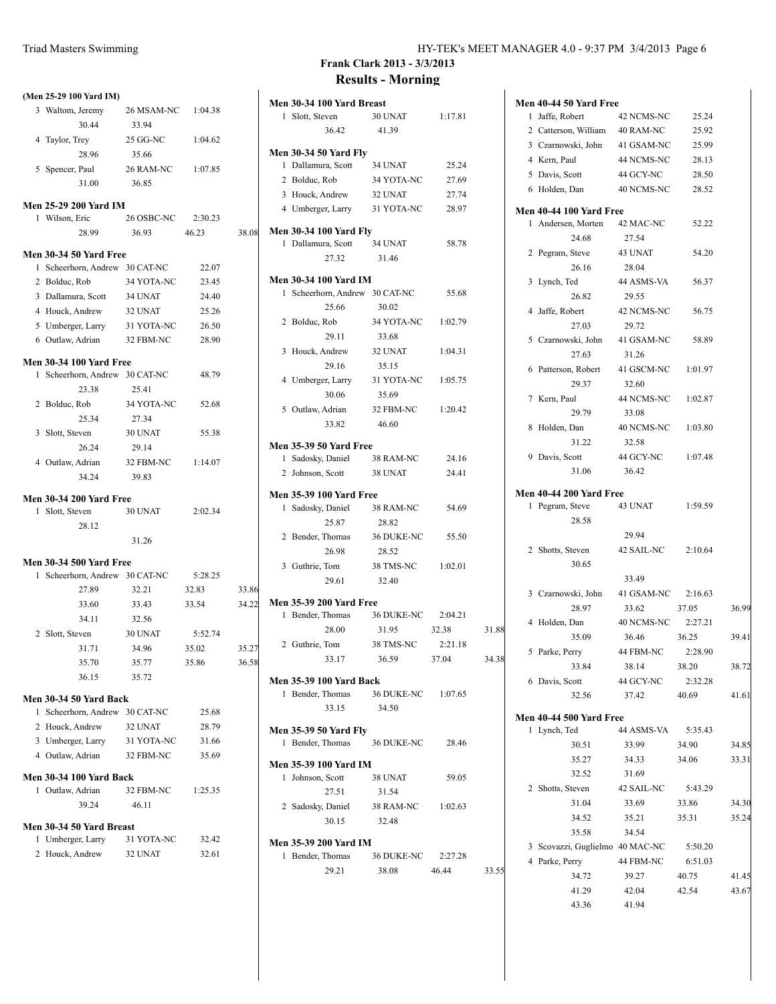|   | (Men 25-29 100 Yard IM)                                         |            |                |
|---|-----------------------------------------------------------------|------------|----------------|
|   | 3 Waltom, Jeremy                                                | 26 MSAM-NC | 1:04.38        |
|   | 30.44                                                           | 33.94      |                |
|   | 4 Taylor, Trey                                                  | 25 GG-NC   | 1:04.62        |
|   | 28.96                                                           | 35.66      |                |
|   | 5 Spencer, Paul                                                 | 26 RAM-NC  | 1:07.85        |
|   | 31.00                                                           | 36.85      |                |
|   | <b>Men 25-29 200 Yard IM</b>                                    |            |                |
|   | 1 Wilson, Eric                                                  | 26 OSBC-NC | 2:30.23        |
|   | 28.99                                                           | 36.93      | 46.23          |
|   |                                                                 |            |                |
|   | <b>Men 30-34 50 Yard Free</b><br>1 Scheerhorn, Andrew 30 CAT-NC |            | 22.07          |
|   | 2 Bolduc, Rob                                                   | 34 YOTA-NC | 23.45          |
|   | 3 Dallamura, Scott                                              | 34 UNAT    | 24.40          |
|   | 4 Houck, Andrew                                                 | 32 UNAT    | 25.26          |
|   | 5 Umberger, Larry                                               | 31 YOTA-NC | 26.50          |
|   | 6 Outlaw, Adrian                                                | 32 FBM-NC  | 28.90          |
|   |                                                                 |            |                |
|   | <b>Men 30-34 100 Yard Free</b>                                  |            |                |
|   | 1 Scheerhorn, Andrew 30 CAT-NC                                  |            | 48.79          |
|   | 23.38                                                           | 25.41      |                |
|   | 2 Bolduc, Rob                                                   | 34 YOTA-NC | 52.68          |
|   | 25.34                                                           | 27.34      |                |
|   | 3 Slott, Steven                                                 | 30 UNAT    | 55.38          |
|   | 26.24                                                           | 29.14      |                |
|   | 4 Outlaw, Adrian                                                | 32 FBM-NC  | 1:14.07        |
|   | 34.24                                                           | 39.83      |                |
|   | <b>Men 30-34 200 Yard Free</b>                                  |            |                |
| 1 | Slott, Steven                                                   | 30 UNAT    | 2:02.34        |
|   |                                                                 |            |                |
|   | 28.12                                                           |            |                |
|   |                                                                 | 31.26      |                |
|   | <b>Men 30-34 500 Yard Free</b>                                  |            |                |
|   | 1 Scheerhorn, Andrew 30 CAT-NC                                  |            | 5:28.25        |
|   | 27.89                                                           | 32.21      | 32.83          |
|   | 33.60                                                           | 33.43      | 33.54          |
|   | 34.11                                                           | 32.56      |                |
|   | 2 Slott, Steven                                                 | 30 UNAT    | 5:52.74        |
|   | 31.71                                                           | 34.96      | 35.02          |
|   | 35.70                                                           | 35.77      | 35.86          |
|   | 36.15                                                           | 35.72      |                |
|   |                                                                 |            |                |
| 1 | <b>Men 30-34 50 Yard Back</b><br>Scheerhorn, Andrew 30 CAT-NC   |            | 25.68          |
|   | 2 Houck, Andrew                                                 | 32 UNAT    | 28.79          |
|   | 3 Umberger, Larry                                               | 31 YOTA-NC | 31.66          |
|   | 4 Outlaw, Adrian                                                | 32 FBM-NC  | 35.69          |
|   |                                                                 |            |                |
|   | <b>Men 30-34 100 Yard Back</b>                                  |            |                |
| 1 | Outlaw, Adrian                                                  | 32 FBM-NC  | 1:25.35        |
|   | 39.24                                                           | 46.11      |                |
|   | Men 30-34 50 Yard Breast                                        |            |                |
| 1 | Umberger, Larry<br>2 Houck, Andrew 32 UNAT                      | 31 YOTA-NC | 32.42<br>32.61 |

|       | Men 30-34 100 Yard Breast            |                    |         |
|-------|--------------------------------------|--------------------|---------|
|       | 1 Slott, Steven                      | 30 UNAT            | 1:17.81 |
|       | 36.42                                | 41.39              |         |
|       |                                      |                    |         |
|       | <b>Men 30-34 50 Yard Fly</b>         |                    |         |
|       | 1 Dallamura, Scott 34 UNAT           |                    | 25.24   |
|       | 2 Bolduc, Rob                        | 34 YOTA-NC 27.69   |         |
|       | 3 Houck, Andrew 32 UNAT              |                    | 27.74   |
|       | 4 Umberger, Larry 31 YOTA-NC 28.97   |                    |         |
|       |                                      |                    |         |
| 38.08 | <b>Men 30-34 100 Yard Fly</b>        |                    |         |
|       | 1 Dallamura, Scott 34 UNAT           |                    | 58.78   |
|       | 27.32                                | 31.46              |         |
|       | <b>Men 30-34 100 Yard IM</b>         |                    |         |
|       | 1 Scheerhorn, Andrew 30 CAT-NC 55.68 |                    |         |
|       | 25.66                                | 30.02              |         |
|       | 2 Bolduc, Rob                        | 34 YOTA-NC 1:02.79 |         |
|       | 29.11                                | 33.68              |         |
|       |                                      |                    |         |
|       | 3 Houck, Andrew                      | 32 UNAT            | 1:04.31 |
|       | 29.16                                | 35.15              |         |
|       | 4 Umberger, Larry                    | 31 YOTA-NC         | 1:05.75 |
|       | 30.06                                | 35.69              |         |
|       | 5 Outlaw, Adrian 32 FBM-NC           |                    | 1:20.42 |
|       | 33.82                                | 46.60              |         |
|       |                                      |                    |         |
|       | <b>Men 35-39 50 Yard Free</b>        |                    | 24.16   |
|       | 1 Sadosky, Daniel 38 RAM-NC          |                    |         |
|       | 2 Johnson, Scott                     | 38 UNAT            | 24.41   |
|       | <b>Men 35-39 100 Yard Free</b>       |                    |         |
|       | 1 Sadosky, Daniel 38 RAM-NC 54.69    |                    |         |
|       | 25.87                                | 28.82              |         |
|       | 2 Bender, Thomas 36 DUKE-NC 55.50    |                    |         |
|       | 26.98                                | 28.52              |         |
|       | 3 Guthrie, Tom 38 TMS-NC 1:02.01     |                    |         |
|       | 29.61 32.40                          |                    |         |
| 33.86 |                                      |                    |         |
| 34.22 | <b>Men 35-39 200 Yard Free</b>       |                    |         |
|       | 1 Bender, Thomas 36 DUKE-NC 2:04.21  |                    |         |
|       | 28.00                                | 31.95              | 32.38   |
| 35.27 | 2 Guthrie, Tom 38 TMS-NC 2:21.18     |                    |         |
| 36.58 | 33.17                                | 36.59              | 37.04   |
|       |                                      |                    |         |
|       | <b>Men 35-39 100 Yard Back</b>       |                    |         |
|       | 1 Bender, Thomas                     | 36 DUKE-NC 1:07.65 |         |
|       | 33.15                                | 34.50              |         |
|       | <b>Men 35-39 50 Yard Fly</b>         |                    |         |
|       | 1 Bender, Thomas                     | 36 DUKE-NC 28.46   |         |
|       |                                      |                    |         |
|       | <b>Men 35-39 100 Yard IM</b>         |                    |         |
|       | 1 Johnson, Scott                     | 38 UNAT            | 59.05   |
|       | 27.51                                | 31.54              |         |
|       | 2 Sadosky, Daniel                    | 38 RAM-NC 1:02.63  |         |
|       | 30.15                                | 32.48              |         |
|       |                                      |                    |         |
|       | <b>Men 35-39 200 Yard IM</b>         |                    |         |
|       | Bender, Thomas 36 DUKE-NC<br>1       |                    | 2:27.28 |

31.88

34.38

29.21 38.08 46.44 33.55

|   | <b>Men 40-44 50 Yard Free</b>          |                             |                  |       |
|---|----------------------------------------|-----------------------------|------------------|-------|
| 1 | Jaffe, Robert                          | 42 NCMS-NC                  | 25.24            |       |
|   | 2 Catterson, William                   | 40 RAM-NC                   | 25.92            |       |
|   | 3 Czarnowski, John                     | 41 GSAM-NC                  | 25.99            |       |
|   | 4 Kern. Paul                           | 44 NCMS-NC                  | 28.13            |       |
|   | 5 Davis, Scott                         | 44 GCY-NC                   | 28.50            |       |
|   | 6 Holden, Dan                          | 40 NCMS-NC                  | 28.52            |       |
|   | <b>Men 40-44 100 Yard Free</b>         |                             |                  |       |
|   | 1 Andersen, Morten 42 MAC-NC           |                             | 52.22            |       |
|   | 24.68                                  | 27.54                       |                  |       |
|   | 2 Pegram, Steve                        | 43 UNAT                     | 54.20            |       |
|   | 26.16                                  | 28.04                       |                  |       |
|   | 3 Lynch, Ted                           | 44 ASMS-VA                  | 56.37            |       |
|   | 26.82                                  | 29.55                       |                  |       |
|   | 4 Jaffe, Robert                        | 42 NCMS-NC                  | 56.75            |       |
|   | 27.03                                  | 29.72                       |                  |       |
|   | 5 Czarnowski, John 41 GSAM-NC          |                             | 58.89            |       |
|   | 27.63                                  | 31.26                       |                  |       |
|   | 6 Patterson, Robert 41 GSCM-NC 1:01.97 | 32.60                       |                  |       |
|   | 29.37                                  |                             |                  |       |
|   | 7 Kern, Paul                           | 44 NCMS-NC 1:02.87          |                  |       |
|   | 29.79                                  | 33.08<br>40 NCMS-NC 1:03.80 |                  |       |
|   | 8 Holden, Dan<br>31.22                 | 32.58                       |                  |       |
|   | 9 Davis, Scott                         | 44 GCY-NC                   | 1:07.48          |       |
|   | 31.06                                  | 36.42                       |                  |       |
|   |                                        |                             |                  |       |
|   | <b>Men 40-44 200 Yard Free</b>         |                             |                  |       |
|   | 1 Pegram, Steve                        | 43 UNAT                     | 1:59.59          |       |
|   | 28.58                                  |                             |                  |       |
|   |                                        | 29.94                       |                  |       |
|   | 2 Shotts, Steven<br>30.65              | 42 SAIL-NC 2:10.64          |                  |       |
|   |                                        | 33.49                       |                  |       |
|   | 3 Czarnowski, John                     | 41 GSAM-NC 2:16.63          |                  |       |
|   | 28.97                                  | 33.62                       | 37.05            | 36.99 |
|   | 4 Holden, Dan                          | 40 NCMS-NC                  | 2:27.21          |       |
|   | 35.09                                  | 36.46                       | 36.25            | 39.41 |
|   | 5 Parke, Perry                         | 44 FBM-NC                   | 2:28.90          |       |
|   | 33.84                                  | 38.14                       | 38.20            | 38.72 |
|   | 6 Davis, Scott                         | 44 GCY-NC                   | 2:32.28          |       |
|   | 32.56                                  | 37.42                       | 40.69            | 41.61 |
|   |                                        |                             |                  |       |
|   | <b>Men 40-44 500 Yard Free</b>         | 44 ASMS-VA                  |                  |       |
|   | 1 Lynch, Ted<br>30.51                  | 33.99                       | 5:35.43<br>34.90 | 34.85 |
|   | 35.27                                  | 34.33                       | 34.06            | 33.31 |
|   | 32.52                                  | 31.69                       |                  |       |
|   | 2 Shotts, Steven                       | 42 SAIL-NC                  | 5:43.29          |       |
|   | 31.04                                  | 33.69                       | 33.86            | 34.30 |
|   | 34.52                                  | 35.21                       | 35.31            | 35.24 |
|   | 35.58                                  | 34.54                       |                  |       |
|   | 3 Scovazzi, Guglielmo 40 MAC-NC        |                             | 5:50.20          |       |
|   | 4 Parke, Perry                         | 44 FBM-NC                   | 6:51.03          |       |
|   | 34.72                                  | 39.27                       | 40.75            | 41.45 |
|   | 41.29                                  | 42.04                       | 42.54            | 43.67 |
|   | 43.36                                  | 41.94                       |                  |       |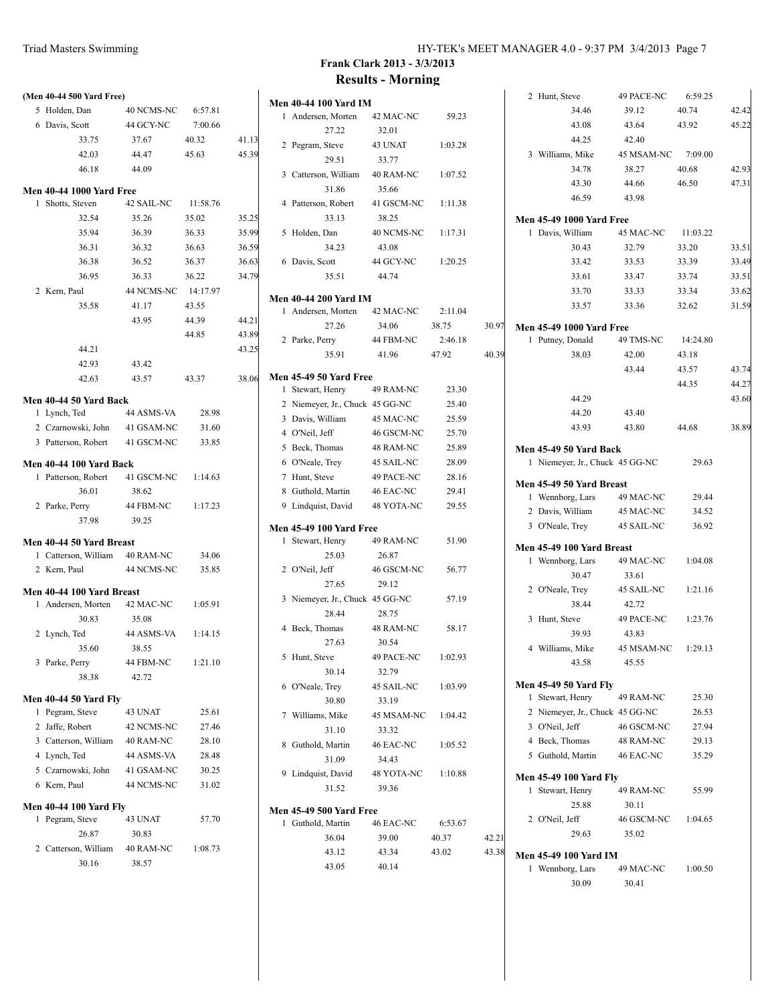| (Men 40-44 500 Yard Free)              |                     |         |       |
|----------------------------------------|---------------------|---------|-------|
| 5 Holden, Dan                          | 40 NCMS-NC          | 6:57.81 |       |
| 6 Davis, Scott                         | 44 GCY-NC           | 7:00.66 |       |
| 33.75                                  | 37.67               | 40.32   | 41.13 |
| 42.03                                  | 44.47               | 45.63   | 45.39 |
| 46.18                                  | 44.09               |         |       |
| <b>Men 40-44 1000 Yard Free</b>        |                     |         |       |
| 1 Shotts, Steven                       | 42 SAIL-NC 11:58.76 |         |       |
| 32.54                                  | 35.26               | 35.02   | 35.25 |
| 35.94                                  | 36.39               | 36.33   | 35.99 |
| 36.31                                  | 36.32               | 36.63   | 36.59 |
| 36.38                                  | 36.52               | 36.37   | 36.63 |
| 36.95                                  | 36.33               | 36.22   | 34.79 |
| 2 Kern, Paul                           | 44 NCMS-NC 14:17.97 |         |       |
| 35.58                                  | 41.17               | 43.55   |       |
|                                        | 43.95               | 44.39   | 44.21 |
|                                        |                     | 44.85   | 43.89 |
| 44.21                                  |                     |         | 43.25 |
| 42.93                                  | 43.42               |         |       |
| 42.63                                  | 43.57               | 43.37   | 38.06 |
| Men 40-44 50 Yard Back                 |                     |         |       |
| 1 Lynch, Ted                           | 44 ASMS-VA          | 28.98   |       |
| 2 Czarnowski, John 41 GSAM-NC          |                     | 31.60   |       |
| 3 Patterson, Robert                    | 41 GSCM-NC          | 33.85   |       |
| <b>Men 40-44 100 Yard Back</b>         |                     |         |       |
| 1 Patterson, Robert 41 GSCM-NC 1:14.63 |                     |         |       |
| 36.01                                  | 38.62               |         |       |
| 2 Parke, Perry                         | 44 FBM-NC           | 1:17.23 |       |
| 37.98                                  | 39.25               |         |       |
| Men 40-44 50 Yard Breast               |                     |         |       |
| 1 Catterson, William 40 RAM-NC         |                     | 34.06   |       |
| 2 Kern, Paul                           | 44 NCMS-NC          | 35.85   |       |
| Men 40-44 100 Yard Breast              |                     |         |       |
| 1 Andersen, Morten 42 MAC-NC           |                     | 1:05.91 |       |
| 30.83                                  | 35.08               |         |       |
| 2 Lynch, Ted                           | 44 ASMS-VA          | 1:14.15 |       |
| 35.60                                  | 38.55               |         |       |
| 3 Parke, Perry                         | 44 FBM-NC           | 1:21.10 |       |
| 38.38                                  | 42.72               |         |       |
| <b>Men 40-44 50 Yard Fly</b>           |                     |         |       |
| 1 Pegram, Steve                        | 43 UNAT             | 25.61   |       |
| 2 Jaffe, Robert                        | 42 NCMS-NC          | 27.46   |       |
| 3 Catterson, William                   | 40 RAM-NC           | 28.10   |       |
| 4 Lynch, Ted                           | 44 ASMS-VA          | 28.48   |       |
| 5 Czarnowski, John                     | 41 GSAM-NC          | 30.25   |       |
| 6 Kern, Paul                           | 44 NCMS-NC          | 31.02   |       |
| <b>Men 40-44 100 Yard Fly</b>          |                     |         |       |
| 1 Pegram, Steve                        | 43 UNAT             | 57.70   |       |
| 26.87                                  | 30.83               |         |       |
| 2 Catterson, William 40 RAM-NC         |                     | 1:08.73 |       |
| 30.16                                  | 38.57               |         |       |
|                                        |                     |         |       |

|   | <b>Men 40-44 100 Yard IM</b>           |                    |                  |       |
|---|----------------------------------------|--------------------|------------------|-------|
|   | 1 Andersen, Morten 42 MAC-NC           |                    | 59.23            |       |
|   | 27.22                                  | 32.01              |                  |       |
|   | 2 Pegram, Steve 43 UNAT                |                    | 1:03.28          |       |
|   | 29.51                                  | 33.77              |                  |       |
|   | 3 Catterson, William 40 RAM-NC         |                    | 1:07.52          |       |
|   | 31.86                                  | 35.66              |                  |       |
|   | 4 Patterson, Robert 41 GSCM-NC 1:11.38 |                    |                  |       |
|   | 33.13                                  | 38.25              |                  |       |
|   | 5 Holden, Dan                          | 40 NCMS-NC 1:17.31 |                  |       |
|   | 34.23                                  | 43.08              |                  |       |
|   | 6 Davis, Scott                         | 44 GCY-NC          | 1:20.25          |       |
|   | 35.51                                  | 44.74              |                  |       |
|   |                                        |                    |                  |       |
|   | <b>Men 40-44 200 Yard IM</b>           |                    |                  |       |
|   | 1 Andersen, Morten 42 MAC-NC           |                    | 2:11.04          |       |
|   | 27.26                                  | 34.06              | 38.75<br>2:46.18 | 30.97 |
|   | 2 Parke, Perry 44 FBM-NC               | 35.91 41.96 47.92  |                  | 40.39 |
|   |                                        |                    |                  |       |
|   | <b>Men 45-49 50 Yard Free</b>          |                    |                  |       |
|   | 1 Stewart, Henry                       | 49 RAM-NC          | 23.30            |       |
|   | 2 Niemeyer, Jr., Chuck 45 GG-NC        |                    | 25.40            |       |
|   | 3 Davis, William 45 MAC-NC             |                    | 25.59            |       |
|   | 4 O'Neil, Jeff                         | 46 GSCM-NC         | 25.70            |       |
|   | 5 Beck, Thomas 48 RAM-NC               |                    | 25.89            |       |
|   | 6 O'Neale, Trey 45 SAIL-NC             |                    | 28.09            |       |
|   | 7 Hunt, Steve                          | 49 PACE-NC         | 28.16            |       |
|   | 8 Guthold, Martin 46 EAC-NC            |                    | 29.41            |       |
|   | 9 Lindquist, David 48 YOTA-NC          |                    | 29.55            |       |
|   | <b>Men 45-49 100 Yard Free</b>         |                    |                  |       |
| 1 | Stewart, Henry                         | 49 RAM-NC          | 51.90            |       |
|   | 25.03                                  | 26.87              |                  |       |
|   | 2 O'Neil, Jeff                         | 46 GSCM-NC         | 56.77            |       |
|   | 27.65                                  | 29.12              |                  |       |
|   | 3 Niemeyer, Jr., Chuck 45 GG-NC        |                    | 57.19            |       |
|   | 28.44                                  | 28.75              |                  |       |
|   | 4 Beck, Thomas 48 RAM-NC               |                    | 58.17            |       |
|   | 27.63                                  | 30.54              |                  |       |
|   | 5 Hunt, Steve                          | 49 PACE-NC         | 1:02.93          |       |
|   | 30.14                                  | 32.79              |                  |       |
|   | 6 O'Neale, Trey                        | 45 SAIL-NC         | 1:03.99          |       |
|   | 30.80                                  | 33.19              |                  |       |
|   | 7 Williams, Mike                       | 45 MSAM-NC 1:04.42 |                  |       |
|   | 31.10                                  | 33.32              |                  |       |
|   | 8 Guthold, Martin 46 EAC-NC            |                    | 1:05.52          |       |
|   | 31.09                                  | 34.43              |                  |       |
|   | 9 Lindquist, David 48 YOTA-NC 1:10.88  |                    |                  |       |
|   | 31.52                                  | 39.36              |                  |       |
|   | Men 45-49 500 Yard Free                |                    |                  |       |
|   | 1 Guthold, Martin                      | 46 EAC-NC          | 6:53.67          |       |
|   | 36.04                                  | 39.00              | 40.37            | 42.21 |
|   | 43.12                                  | 43.34              | 43.02            | 43.38 |
|   | 43.05                                  | 40.14              |                  |       |
|   |                                        |                    |                  |       |

| 2 Hunt, Steve                       | 49 PACE-NC         | 6:59.25  |       |
|-------------------------------------|--------------------|----------|-------|
| 34.46                               | 39.12              | 40.74    | 42.42 |
| 43.08                               | 43.64              | 43.92    | 45.22 |
| 44.25                               | 42.40              |          |       |
| 3 Williams, Mike 45 MSAM-NC 7:09.00 |                    |          |       |
| 34.78                               | 38.27              | 40.68    | 42.93 |
| 43.30                               | 44.66              | 46.50    | 47.31 |
| 46.59                               | 43.98              |          |       |
| <b>Men 45-49 1000 Yard Free</b>     |                    |          |       |
| 1 Davis, William                    | 45 MAC-NC 11:03.22 |          |       |
| 30.43                               | 32.79              | 33.20    | 33.51 |
| 33.42                               | 33.53              | 33.39    | 33.49 |
| 33.61                               | 33.47              | 33.74    | 33.51 |
| 33.70                               | 33.33              | 33.34    | 33.62 |
| 33.57                               | 33.36              | 32.62    | 31.59 |
|                                     |                    |          |       |
| <b>Men 45-49 1000 Yard Free</b>     |                    |          |       |
| 1 Putney, Donald                    | 49 TMS-NC          | 14:24.80 |       |
| 38.03                               | 42.00              | 43.18    |       |
|                                     | 43.44              | 43.57    | 43.74 |
|                                     |                    | 44.35    | 44.27 |
| 44.29                               |                    |          | 43.60 |
| 44.20                               | 43.40              |          |       |
| 43.93                               | 43.80              | 44.68    | 38.89 |
| Men 45-49 50 Yard Back              |                    |          |       |
| 1 Niemeyer, Jr., Chuck 45 GG-NC     |                    | 29.63    |       |
| Men 45-49 50 Yard Breast            |                    |          |       |
| 1 Wennborg, Lars 49 MAC-NC          |                    | 29.44    |       |
| 2 Davis, William 45 MAC-NC          |                    | 34.52    |       |
| 3 O'Neale, Trey 45 SAIL-NC          |                    | 36.92    |       |
|                                     |                    |          |       |
| Men 45-49 100 Yard Breast           |                    |          |       |
| 1 Wennborg, Lars                    | 49 MAC-NC          | 1:04.08  |       |
| 30.47                               | 33.61              |          |       |
| 2 O'Neale, Trey                     | 45 SAIL-NC         | 1:21.16  |       |
| 38.44                               | 42.72              |          |       |
| 3 Hunt, Steve<br>39.93              | 49 PACE-NC         | 1:23.76  |       |
|                                     | 43.83              |          |       |
| 4 Williams, Mike 45 MSAM-NC 1:29.13 |                    |          |       |
| 43.58                               | 45.55              |          |       |
| <b>Men 45-49 50 Yard Fly</b>        |                    |          |       |
| Stewart, Henry<br>1                 | 49 RAM-NC          | 25.30    |       |
| 2 Niemeyer, Jr., Chuck 45 GG-NC     |                    | 26.53    |       |
| 3 O'Neil, Jeff                      | 46 GSCM-NC         | 27.94    |       |
| 4 Beck, Thomas                      | 48 RAM-NC          | 29.13    |       |
| 5 Guthold, Martin 46 EAC-NC         |                    | 35.29    |       |
| <b>Men 45-49 100 Yard Fly</b>       |                    |          |       |
| Stewart, Henry<br>1                 | 49 RAM-NC          | 55.99    |       |
| 25.88                               | 30.11              |          |       |
| 2 O'Neil, Jeff                      | 46 GSCM-NC         | 1:04.65  |       |
| 29.63                               | 35.02              |          |       |
|                                     |                    |          |       |
| Men 45-49 100 Yard IM               |                    |          |       |
| 1 Wennborg, Lars                    | 49 MAC-NC          | 1:00.50  |       |
| 30.09                               | 30.41              |          |       |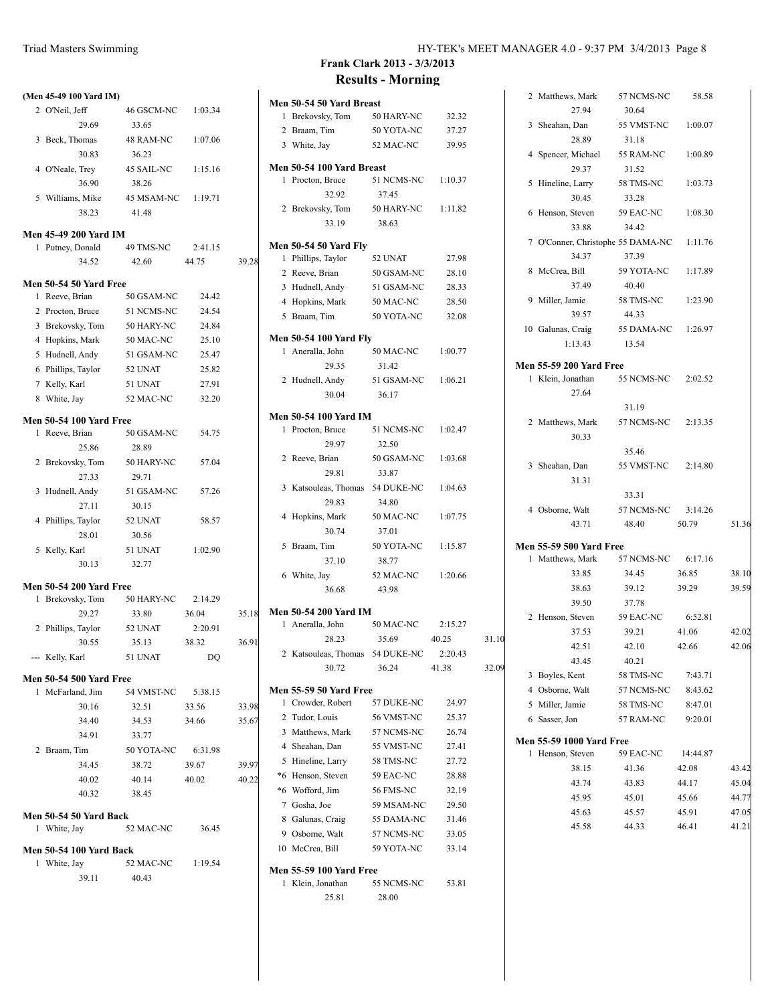**(Men 45-49 100 Yard IM)** 2 O'Neil, Jeff 46 GSCM-NC 1:03.34 29.69 33.65 3 Beck, Thomas 48 RAM-NC 1:07.06 30.83 36.23 4 O'Neale, Trey 45 SAIL-NC 1:15.16 36.90 38.26 5 Williams, Mike 45 MSAM-NC 1:19.71 38.23 41.48 **Men 45-49 200 Yard IM** 1 Putney, Donald 49 TMS-NC 2:41.15 34.52 42.60 44.75 39.28 **Men 50-54 50 Yard Free** 1 Reeve, Brian 50 GSAM-NC 24.42 2 Procton, Bruce 51 NCMS-NC 24.54 3 Brekovsky, Tom 50 HARY-NC 24.84 4 Hopkins, Mark 50 MAC-NC 25.10 5 Hudnell, Andy 51 GSAM-NC 25.47 6 Phillips, Taylor 52 UNAT 25.82 7 Kelly, Karl 51 UNAT 27.91 8 White, Jay 52 MAC-NC 32.20 **Men 50-54 100 Yard Free**<br>1 Reeve, Brian 50 GSAM-NC 1 Reeve, Brian 50 GSAM-NC 54.75 25.86 28.89 2 Brekovsky, Tom 50 HARY-NC 57.04 27.33 29.71 3 Hudnell, Andy 51 GSAM-NC 57.26 27.11 30.15 4 Phillips, Taylor 52 UNAT 58.57 28.01 30.56 5 Kelly, Karl 51 UNAT 1:02.90 30.13 32.77 **Men 50-54 200 Yard Free** 1 Brekovsky, Tom 50 HARY-NC 2:14.29 29.27 33.80 36.04 35.18 2 Phillips, Taylor 52 UNAT 2:20.91 30.55 35.13 38.32 36.91 --- Kelly, Karl 51 UNAT DQ **Men 50-54 500 Yard Free** 1 McFarland, Jim 54 VMST-NC 5:38.15 30.16 32.51 33.56 33.98 34.40 34.53 34.66 35.67 34.91 33.77 2 Braam, Tim 50 YOTA-NC 6:31.98 34.45 38.72 39.67 39.97 40.02 40.14 40.02 40.22 40.32 38.45 **Men 50-54 50 Yard Back** 1 White, Jay 52 MAC-NC 36.45 **Men 50-54 100 Yard Back** 1 White, Jay 52 MAC-NC 1:19.54 39.11 40.43

#### **Frank Clark 2013 - 3/3/2013 Results - Morning**

|    | Men 50-54 50 Yard Breast                          |            |         |
|----|---------------------------------------------------|------------|---------|
|    | 1 Brekovsky, Tom                                  | 50 HARY-NC | 32.32   |
| 2  | Braam, Tim                                        | 50 YOTA-NC | 37.27   |
|    | 3 White, Jav                                      | 52 MAC-NC  | 39.95   |
|    | Men 50-54 100 Yard Breast                         |            |         |
| 1  | Procton, Bruce                                    | 51 NCMS-NC | 1:10.37 |
|    | 32.92                                             | 37.45      |         |
|    | 2 Brekovsky, Tom                                  | 50 HARY-NC | 1:11.82 |
|    | 33.19                                             | 38.63      |         |
|    |                                                   |            |         |
|    | <b>Men 50-54 50 Yard Fly</b>                      |            |         |
| 1  | Phillips, Taylor                                  | 52 UNAT    | 27.98   |
|    | 2 Reeve, Brian                                    | 50 GSAM-NC | 28.10   |
|    | 3 Hudnell, Andy                                   | 51 GSAM-NC | 28.33   |
|    | 4 Hopkins, Mark                                   | 50 MAC-NC  | 28.50   |
|    | 5 Braam, Tim                                      | 50 YOTA-NC | 32.08   |
|    | <b>Men 50-54 100 Yard Fly</b>                     |            |         |
|    | 1 Aneralla, John                                  | 50 MAC-NC  | 1:00.77 |
|    | 29.35                                             | 31.42      |         |
|    | 2 Hudnell, Andy                                   | 51 GSAM-NC | 1:06.21 |
|    | 30.04                                             | 36.17      |         |
|    |                                                   |            |         |
| 1  | <b>Men 50-54 100 Yard IM</b><br>Procton, Bruce    | 51 NCMS-NC | 1:02.47 |
|    | 29.97                                             | 32.50      |         |
|    | 2 Reeve, Brian                                    | 50 GSAM-NC | 1:03.68 |
|    | 29.81                                             | 33.87      |         |
| 3  | Katsouleas, Thomas                                | 54 DUKE-NC | 1:04.63 |
|    | 29.83                                             | 34.80      |         |
| 4  | Hopkins, Mark                                     | 50 MAC-NC  | 1:07.75 |
|    | 30.74                                             | 37.01      |         |
| 5  | Braam, Tim                                        | 50 YOTA-NC | 1:15.87 |
|    | 37.10                                             | 38.77      |         |
|    | 6 White, Jay                                      | 52 MAC-NC  | 1:20.66 |
|    | 36.68                                             | 43.98      |         |
|    |                                                   |            |         |
|    | <b>Men 50-54 200 Yard IM</b>                      |            |         |
|    | 1 Aneralla, John                                  | 50 MAC-NC  | 2:15.27 |
|    | 28.23                                             | 35.69      | 40.25   |
|    | 2 Katsouleas, Thomas 54 DUKE-NC                   |            | 2:20.43 |
|    | 30.72                                             | 36.24      | 41.38   |
|    | <b>Men 55-59 50 Yard Free</b>                     |            |         |
| 1  | Crowder, Robert                                   | 57 DUKE-NC | 24.97   |
| 2  | Tudor, Louis                                      | 56 VMST-NC | 25.37   |
|    | 3 Matthews, Mark                                  | 57 NCMS-NC | 26.74   |
|    | 4 Sheahan, Dan                                    | 55 VMST-NC | 27.41   |
| 5  | Hineline, Larry                                   | 58 TMS-NC  | 27.72   |
| *6 | Henson, Steven                                    | 59 EAC-NC  | 28.88   |
|    | *6 Wofford, Jim                                   | 56 FMS-NC  | 32.19   |
|    | 7 Gosha, Joe                                      | 59 MSAM-NC | 29.50   |
|    | 8 Galunas, Craig                                  | 55 DAMA-NC | 31.46   |
|    | 9 Osborne, Walt                                   | 57 NCMS-NC | 33.05   |
|    | 10 McCrea, Bill                                   | 59 YOTA-NC | 33.14   |
|    |                                                   |            |         |
| 1  | <b>Men 55-59 100 Yard Free</b><br>Klein, Jonathan | 55 NCMS-NC | 53.81   |
|    | 25.81                                             | 28.00      |         |
|    |                                                   |            |         |

31.10

32.09

|   | 2 Matthews, Mark<br>27.94                          | 57 NCMS-NC<br>30.64         | 58.58          |                |
|---|----------------------------------------------------|-----------------------------|----------------|----------------|
|   | 3 Sheahan, Dan 55 VMST-NC<br>28.89                 | 31.18                       | 1:00.07        |                |
|   | 4 Spencer, Michael 55 RAM-NC 1:00.89<br>29.37      | 31.52                       |                |                |
|   | 5 Hineline, Larry<br>30.45                         | 58 TMS-NC<br>33.28          | 1:03.73        |                |
|   | 6 Henson, Steven<br>33.88                          | 59 EAC-NC<br>34.42          | 1:08.30        |                |
|   | 7 O'Conner, Christophe 55 DAMA-NC 1:11.76<br>34.37 | 37.39                       |                |                |
|   | 8 McCrea, Bill<br>37.49                            | 59 YOTA-NC 1:17.89<br>40.40 |                |                |
|   | 9 Miller, Jamie<br>39.57                           | 58 TMS-NC 1:23.90<br>44.33  |                |                |
|   | 10 Galunas, Craig 55 DAMA-NC 1:26.97<br>1:13.43    | 13.54                       |                |                |
|   | <b>Men 55-59 200 Yard Free</b>                     |                             |                |                |
|   | 1 Klein, Jonathan<br>27.64                         | 55 NCMS-NC                  | 2:02.52        |                |
|   |                                                    | 31.19                       |                |                |
|   | 2 Matthews, Mark 57 NCMS-NC 2:13.35<br>30.33       |                             |                |                |
|   |                                                    | 35.46                       |                |                |
|   | 3 Sheahan, Dan<br>31.31                            | 55 VMST-NC 2:14.80          |                |                |
|   |                                                    | 33.31                       |                |                |
|   | 4 Osborne, Walt<br>43.71                           | 57 NCMS-NC 3:14.26<br>48.40 | 50.79          | 51.36          |
|   | <b>Men 55-59 500 Yard Free</b>                     |                             |                |                |
|   | 1 Matthews, Mark 57 NCMS-NC 6:17.16                |                             |                |                |
|   | 33.85                                              | 34.45                       | 36.85          | 38.10          |
|   | 38.63                                              | 39.12                       | 39.29          | 39.59          |
|   | 39.50                                              | 37.78                       |                |                |
|   | 2 Henson, Steven 59 EAC-NC                         |                             | 6:52.81        |                |
|   | 37.53<br>42.51                                     | 39.21                       | 41.06<br>42.66 | 42.02<br>42.06 |
|   | 43.45                                              | 42.10<br>40.21              |                |                |
|   | 3 Boyles, Kent                                     | 58 TMS-NC                   | 7:43.71        |                |
|   | 4 Osborne, Walt                                    | 57 NCMS-NC                  | 8:43.62        |                |
|   | 5 Miller, Jamie                                    | 58 TMS-NC                   | 8:47.01        |                |
|   | 6 Sasser, Jon                                      | 57 RAM-NC                   | 9:20.01        |                |
| 1 | <b>Men 55-59 1000 Yard Free</b><br>Henson, Steven  | 59 EAC-NC                   | 14:44.87       |                |
|   | 38.15                                              | 41.36                       | 42.08          | 43.42          |
|   | 43.74                                              | 43.83                       | 44.17          | 45.04          |
|   | 45.95                                              | 45.01                       | 45.66          | 44.77          |
|   | 45.63                                              | 45.57                       | 45.91          | 47.05          |
|   | 45.58                                              | 44.33                       | 46.41          | 41.21          |
|   |                                                    |                             |                |                |
|   |                                                    |                             |                |                |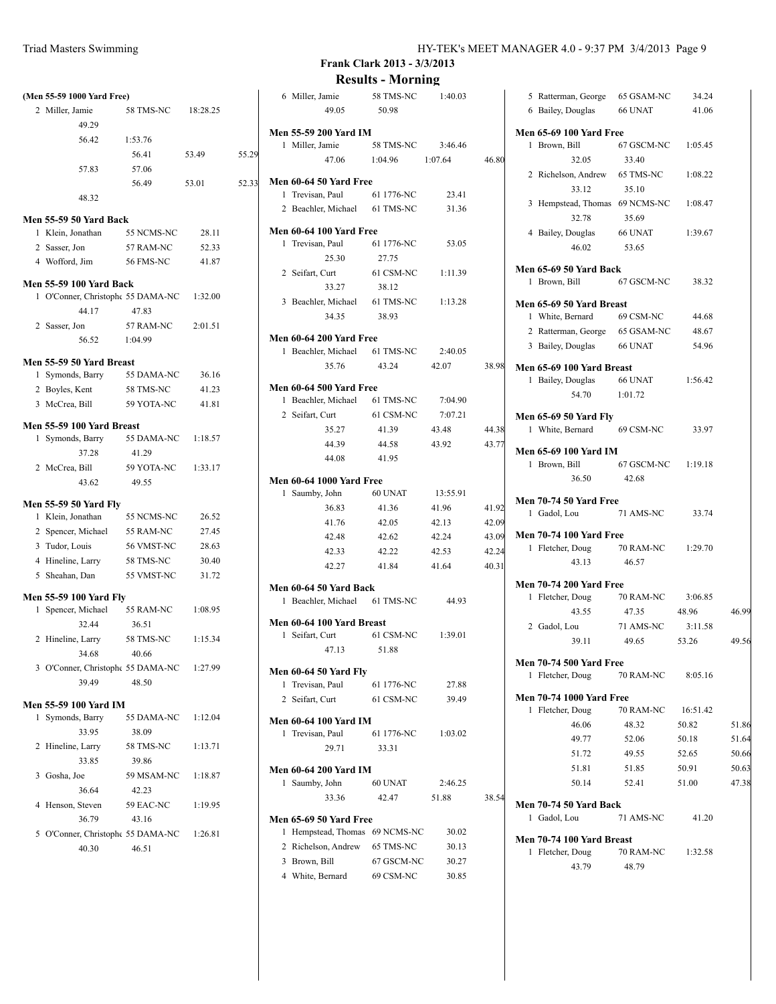| (Men 55-59 1000 Yard Free)                |                    |         |       |
|-------------------------------------------|--------------------|---------|-------|
| 2 Miller, Jamie                           | 58 TMS-NC 18:28.25 |         |       |
| 49.29                                     |                    |         |       |
| 56.42                                     | 1:53.76            |         |       |
|                                           | 56.41              | 53.49   | 55.29 |
| 57.83                                     | 57.06              |         |       |
|                                           | 56.49              | 53.01   | 52.33 |
| 48.32                                     |                    |         |       |
| <b>Men 55-59 50 Yard Back</b>             |                    |         |       |
| 1 Klein, Jonathan 55 NCMS-NC              |                    | 28.11   |       |
| 2 Sasser, Jon                             | 57 RAM-NC          | 52.33   |       |
| 4 Wofford, Jim                            | 56 FMS-NC          | 41.87   |       |
|                                           |                    |         |       |
| <b>Men 55-59 100 Yard Back</b>            |                    |         |       |
| 1 O'Conner, Christophe 55 DAMA-NC 1:32.00 |                    |         |       |
| 44.17                                     | 47.83              |         |       |
| 2 Sasser, Jon                             | 57 RAM-NC          | 2:01.51 |       |
| 56.52                                     | 1:04.99            |         |       |
| Men 55-59 50 Yard Breast                  |                    |         |       |
| 1 Symonds, Barry                          | 55 DAMA-NC         | 36.16   |       |
| 2 Boyles, Kent                            | 58 TMS-NC          | 41.23   |       |
| 3 McCrea, Bill                            | 59 YOTA-NC         | 41.81   |       |
| <b>Men 55-59 100 Yard Breast</b>          |                    |         |       |
| 1 Symonds, Barry                          | 55 DAMA-NC 1:18.57 |         |       |
| 37.28                                     | 41.29              |         |       |
| 2 McCrea, Bill                            | 59 YOTA-NC 1:33.17 |         |       |
| 43.62                                     | 49.55              |         |       |
|                                           |                    |         |       |
| <b>Men 55-59 50 Yard Fly</b>              |                    |         |       |
| 1 Klein, Jonathan                         | 55 NCMS-NC         | 26.52   |       |
| 2 Spencer, Michael 55 RAM-NC              |                    | 27.45   |       |
| 3 Tudor, Louis                            | 56 VMST-NC         | 28.63   |       |
| 4 Hineline, Larry 58 TMS-NC               |                    | 30.40   |       |
| 5 Sheahan, Dan 55 VMST-NC                 |                    | 31.72   |       |
| <b>Men 55-59 100 Yard Fly</b>             |                    |         |       |
| 1 Spencer, Michael 55 RAM-NC              |                    | 1:08.95 |       |
| 32.44                                     | 36.51              |         |       |
| 2 Hineline, Larry 58 TMS-NC               |                    | 1:15.34 |       |
| 34.68                                     | 40.66              |         |       |
| 3 O'Conner, Christophe 55 DAMA-NC 1:27.99 |                    |         |       |
| 39.49                                     | 48.50              |         |       |
| <b>Men 55-59 100 Yard IM</b>              |                    |         |       |
| Symonds, Barry                            | 55 DAMA-NC         | 1:12.04 |       |
| 33.95                                     | 38.09              |         |       |
| 2<br>Hineline, Larry                      | 58 TMS-NC          | 1:13.71 |       |
| 33.85                                     | 39.86              |         |       |
| 3 Gosha, Joe                              | 59 MSAM-NC         | 1:18.87 |       |
| 36.64                                     | 42.23              |         |       |
| 4 Henson, Steven                          | 59 EAC-NC          | 1:19.95 |       |
| 36.79                                     | 43.16              |         |       |
| 5 O'Conner, Christophe 55 DAMA-NC 1:26.81 |                    |         |       |
| 40.30                                     | 46.51              |         |       |
|                                           |                    |         |       |

|    | 6 Miller, Jamie                                | 58 TMS-NC             | 1:40.03  |       |
|----|------------------------------------------------|-----------------------|----------|-------|
|    | 49.05                                          | 50.98                 |          |       |
|    | <b>Men 55-59 200 Yard IM</b>                   |                       |          |       |
|    | 1 Miller, Jamie                                | 58 TMS-NC 3:46.46     |          |       |
|    |                                                | 47.06 1:04.96 1:07.64 |          | 46.80 |
|    | Men 60-64 50 Yard Free                         |                       |          |       |
|    | 1 Trevisan, Paul                               | 61 1776-NC            | 23.41    |       |
|    | 2 Beachler, Michael 61 TMS-NC                  |                       | 31.36    |       |
|    |                                                |                       |          |       |
|    | <b>Men 60-64 100 Yard Free</b>                 |                       |          |       |
|    | 1 Trevisan, Paul<br>25.30                      | 61 1776-NC<br>27.75   | 53.05    |       |
|    | 2 Seifart, Curt                                | 61 CSM-NC             | 1:11.39  |       |
|    | 33.27                                          | 38.12                 |          |       |
|    | 3 Beachler, Michael 61 TMS-NC                  |                       | 1:13.28  |       |
|    | 34.35                                          | 38.93                 |          |       |
|    |                                                |                       |          |       |
|    | <b>Men 60-64 200 Yard Free</b>                 |                       |          |       |
|    | 1 Beachler, Michael 61 TMS-NC                  |                       | 2:40.05  |       |
|    | 35.76                                          | 43.24                 | 42.07    | 38.98 |
|    | <b>Men 60-64 500 Yard Free</b>                 |                       |          |       |
|    | 1 Beachler, Michael 61 TMS-NC                  |                       | 7:04.90  |       |
|    | 2 Seifart, Curt                                | 61 CSM-NC             | 7:07.21  |       |
|    | 35.27                                          | 41.39                 | 43.48    | 44.38 |
|    | 44.39                                          | 44.58                 | 43.92    | 43.77 |
|    | 44.08                                          | 41.95                 |          |       |
|    | <b>Men 60-64 1000 Yard Free</b>                |                       |          |       |
| 1. | Saumby, John                                   | 60 UNAT               | 13:55.91 |       |
|    | 36.83                                          | 41.36                 | 41.96    | 41.92 |
|    | 41.76                                          | 42.05                 | 42.13    | 42.09 |
|    | 42.48                                          | 42.62                 | 42.24    | 43.09 |
|    | 42.33                                          | 42.22                 | 42.53    | 42.24 |
|    | 42.27                                          | 41.84                 | 41.64    | 40.31 |
|    | Men 60-64 50 Yard Back                         |                       |          |       |
|    | 1 Beachler, Michael 61 TMS-NC                  |                       | 44.93    |       |
|    | Men 60-64 100 Yard Breast                      |                       |          |       |
|    | 1 Seifart, Curt                                | 61 CSM-NC             | 1:39.01  |       |
|    | 47.13                                          | 51.88                 |          |       |
|    |                                                |                       |          |       |
| 1  | <b>Men 60-64 50 Yard Fly</b><br>Trevisan, Paul | 61 1776-NC            | 27.88    |       |
|    | 2 Seifart, Curt                                | 61 CSM-NC             | 39.49    |       |
|    |                                                |                       |          |       |
|    | <b>Men 60-64 100 Yard IM</b>                   |                       |          |       |
|    | 1 Trevisan, Paul                               | 61 1776-NC            | 1:03.02  |       |
|    | 29.71                                          | 33.31                 |          |       |
|    | <b>Men 60-64 200 Yard IM</b>                   |                       |          |       |
| 1  | Saumby, John                                   | 60 UNAT               | 2:46.25  |       |
|    | 33.36                                          | 42.47                 | 51.88    | 38.54 |
|    | <b>Men 65-69 50 Yard Free</b>                  |                       |          |       |
| 1  | Hempstead, Thomas 69 NCMS-NC                   |                       | 30.02    |       |
|    | 2 Richelson, Andrew 65 TMS-NC                  |                       | 30.13    |       |
|    | 3 Brown, Bill                                  | 67 GSCM-NC            | 30.27    |       |
|    | 4 White, Bernard                               | 69 CSM-NC             | 30.85    |       |

|   | 5 Ratterman, George 65 GSAM-NC 34.24                   |                    |          |       |
|---|--------------------------------------------------------|--------------------|----------|-------|
|   | 6 Bailey, Douglas 66 UNAT                              |                    | 41.06    |       |
|   |                                                        |                    |          |       |
|   | Men 65-69 100 Yard Free<br>1 Brown, Bill               | 67 GSCM-NC 1:05.45 |          |       |
|   | 32.05                                                  | 33.40              |          |       |
|   | 2 Richelson, Andrew 65 TMS-NC                          |                    | 1:08.22  |       |
|   | 33.12                                                  | 35.10              |          |       |
|   | 3 Hempstead, Thomas 69 NCMS-NC 1:08.47                 |                    |          |       |
|   | 32.78                                                  | 35.69              |          |       |
|   | 4 Bailey, Douglas 66 UNAT 1:39.67                      |                    |          |       |
|   | 46.02 53.65                                            |                    |          |       |
|   | <b>Men 65-69 50 Yard Back</b>                          |                    |          |       |
|   | 1 Brown, Bill                                          | 67 GSCM-NC         | 38.32    |       |
|   |                                                        |                    |          |       |
|   | Men 65-69 50 Yard Breast<br>1 White, Bernard 69 CSM-NC |                    | 44.68    |       |
|   | 2 Ratterman, George 65 GSAM-NC 48.67                   |                    |          |       |
|   | 3 Bailey, Douglas 66 UNAT                              |                    | 54.96    |       |
|   |                                                        |                    |          |       |
|   | Men 65-69 100 Yard Breast                              |                    |          |       |
|   | 1 Bailey, Douglas 66 UNAT<br>54.70 1:01.72             |                    | 1:56.42  |       |
|   |                                                        |                    |          |       |
|   | <b>Men 65-69 50 Yard Fly</b>                           |                    |          |       |
|   | 1 White, Bernard 69 CSM-NC 33.97                       |                    |          |       |
|   | <b>Men 65-69 100 Yard IM</b>                           |                    |          |       |
|   | 1 Brown, Bill                                          | 67 GSCM-NC 1:19.18 |          |       |
|   | 36.50                                                  | 42.68              |          |       |
|   | <b>Men 70-74 50 Yard Free</b>                          |                    |          |       |
|   | 1 Gadol, Lou 71 AMS-NC                                 |                    | 33.74    |       |
|   | Men 70-74 100 Yard Free                                |                    |          |       |
|   | 1 Fletcher, Doug                                       | 70 RAM-NC          | 1:29.70  |       |
|   | 43.13                                                  | 46.57              |          |       |
|   |                                                        |                    |          |       |
|   | <b>Men 70-74 200 Yard Free</b>                         |                    | 3:06.85  |       |
|   | 1 Fletcher, Doug<br>43.55                              | 70 RAM-NC<br>47.35 | 48.96    | 46.99 |
|   | 2 Gadol, Lou                                           | 71 AMS-NC          | 3:11.58  |       |
|   | 39.11                                                  | 49.65              | 53.26    | 49.56 |
|   |                                                        |                    |          |       |
|   | <b>Men 70-74 500 Yard Free</b>                         |                    |          |       |
| 1 | Fletcher, Doug                                         | 70 RAM-NC          | 8:05.16  |       |
|   | <b>Men 70-74 1000 Yard Free</b>                        |                    |          |       |
| 1 | Fletcher, Doug                                         | 70 RAM-NC          | 16:51.42 |       |
|   | 46.06                                                  | 48.32              | 50.82    | 51.86 |
|   | 49.77                                                  | 52.06              | 50.18    | 51.64 |
|   | 51.72                                                  | 49.55              | 52.65    | 50.66 |
|   | 51.81                                                  | 51.85              | 50.91    | 50.63 |
|   | 50.14                                                  | 52.41              | 51.00    | 47.38 |
|   | <b>Men 70-74 50 Yard Back</b>                          |                    |          |       |
|   | 1 Gadol, Lou                                           | 71 AMS-NC          | 41.20    |       |
|   |                                                        |                    |          |       |
|   | Men 70-74 100 Yard Breast                              |                    |          |       |
| 1 | Fletcher, Doug                                         | 70 RAM-NC          | 1:32.58  |       |
|   | 43.79                                                  | 48.79              |          |       |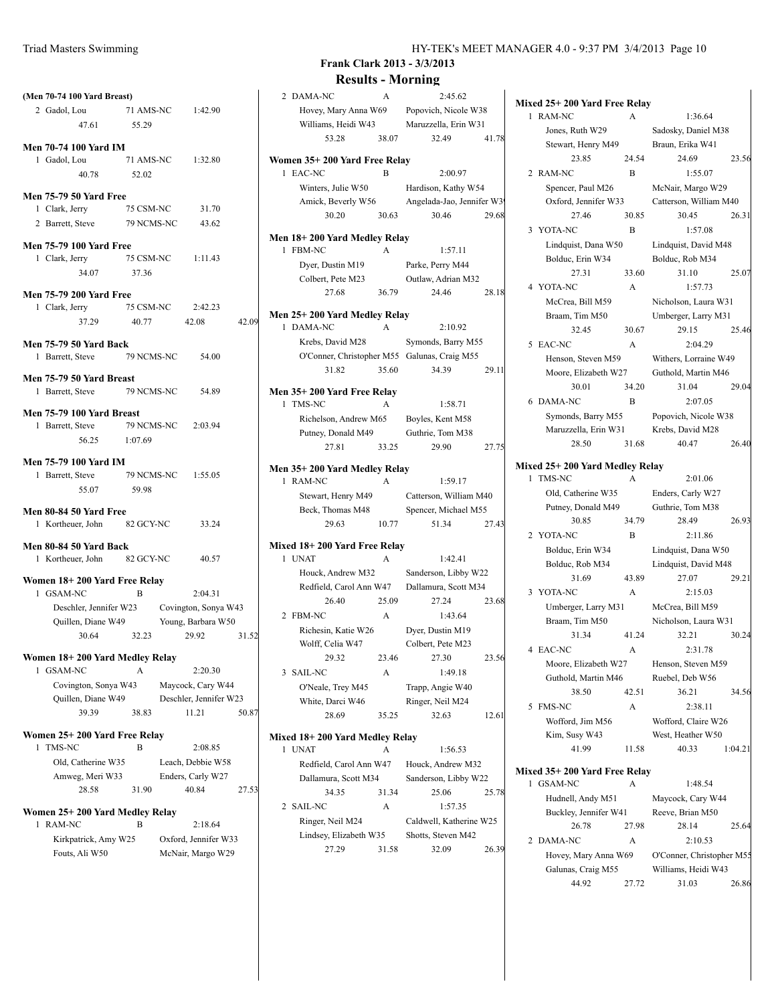| (Men 70-74 100 Yard Breast)                                  |            |                             |       |
|--------------------------------------------------------------|------------|-----------------------------|-------|
| 2 Gadol, Lou                                                 | 71 AMS-NC  | 1:42.90                     |       |
| 47.61                                                        | 55.29      |                             |       |
| Men 70-74 100 Yard IM                                        |            |                             |       |
| 1 Gadol. Lou                                                 |            | 71 AMS-NC 1:32.80           |       |
| 40.78                                                        | 52.02      |                             |       |
| <b>Men 75-79 50 Yard Free</b>                                |            |                             |       |
| 1 Clark, Jerry                                               | 75 CSM-NC  | 31.70                       |       |
| 2 Barrett, Steve 79 NCMS-NC 43.62                            |            |                             |       |
|                                                              |            |                             |       |
| <b>Men 75-79 100 Yard Free</b>                               |            | 75 CSM-NC 1:11.43           |       |
| 1 Clark, Jerry<br>34.07                                      | 37.36      |                             |       |
|                                                              |            |                             |       |
| <b>Men 75-79 200 Yard Free</b>                               |            |                             |       |
| 1 Clark, Jerry                                               |            | 75 CSM-NC 2:42.23           |       |
| 37.29 40.77 42.08                                            |            |                             | 42.09 |
| <b>Men 75-79 50 Yard Back</b>                                |            |                             |       |
| 1 Barrett, Steve                                             | 79 NCMS-NC | 54.00                       |       |
| Men 75-79 50 Yard Breast                                     |            |                             |       |
| 1 Barrett, Steve                                             |            | 79 NCMS-NC 54.89            |       |
|                                                              |            |                             |       |
| Men 75-79 100 Yard Breast                                    |            |                             |       |
| 1 Barrett, Steve                                             |            | 79 NCMS-NC 2:03.94          |       |
| 56.25                                                        | 1:07.69    |                             |       |
| Men 75-79 100 Yard IM                                        |            |                             |       |
| 1 Barrett, Steve                                             |            | 79 NCMS-NC 1:55.05          |       |
| 55.07                                                        | 59.98      |                             |       |
| <b>Men 80-84 50 Yard Free</b>                                |            |                             |       |
| 1 Kortheuer, John 82 GCY-NC                                  |            | 33.24                       |       |
|                                                              |            |                             |       |
| <b>Men 80-84 50 Yard Back</b><br>1 Kortheuer, John 82 GCY-NC |            | 40.57                       |       |
|                                                              |            |                             |       |
| Women 18+200 Yard Free Relay                                 |            |                             |       |
| <b>GSAM-NC</b><br>1                                          | B          | 2:04.31                     |       |
| Deschler, Jennifer W23 Covington, Sonya W43                  |            |                             |       |
| Quillen, Diane W49<br>30.64                                  | 32.23      | Young, Barbara W50<br>29.92 | 31.52 |
|                                                              |            |                             |       |
| Women 18+200 Yard Medley Relay                               |            |                             |       |
| 1<br>GSAM-NC                                                 |            | 2:20.30                     |       |
| Covington, Sonya W43                                         |            | Maycock, Cary W44           |       |
| Quillen, Diane W49                                           |            | Deschler, Jennifer W23      |       |
| 39.39                                                        | 38.83      | 11.21                       | 50.87 |
| Women 25+ 200 Yard Free Relay                                |            |                             |       |
| TMS-NC<br>1                                                  | В          | 2:08.85                     |       |
| Old, Catherine W35                                           |            | Leach, Debbie W58           |       |
| Amweg, Meri W33                                              |            | Enders, Carly W27           |       |
| 28.58                                                        | 31.90      | 40.84                       | 27.53 |
| Women 25+ 200 Yard Medley Relay<br>RAM-NC<br>1               | B          | 2:18.64                     |       |
| Kirkpatrick, Amy W25                                         |            | Oxford, Jennifer W33        |       |
| Fouts, Ali W50                                               |            | McNair, Margo W29           |       |
|                                                              |            |                             |       |
|                                                              |            |                             |       |

**Mixed 25+ 200 Yard Free Relay**

1 RAM-NC A 1:36.64

#### **Frank Clark 2013 - 3/3/2013 Results - Morning**

|   | 2 DAMA-NC                              | А            | 2:45.62                                      |       |
|---|----------------------------------------|--------------|----------------------------------------------|-------|
|   | Hovey, Mary Anna W69                   |              | Popovich, Nicole W38                         |       |
|   | Williams, Heidi W43                    |              | Maruzzella, Erin W31                         |       |
|   | 53.28                                  | 38.07        | 32.49                                        | 41.78 |
|   |                                        |              |                                              |       |
|   | Women 35+200 Yard Free Relay           |              |                                              |       |
|   | 1 EAC-NC                               | в            | 2:00.97                                      |       |
|   | Winters, Julie W50                     |              | Hardison, Kathy W54                          |       |
|   | Amick, Beverly W56                     |              | Angelada-Jao, Jennifer W39                   |       |
|   | 30.20                                  | 30.63        | 30.46                                        | 29.68 |
|   | Men 18+ 200 Yard Medley Relay          |              |                                              |       |
| 1 | FBM-NC                                 |              | 1:57.11                                      |       |
|   | Dyer, Dustin M19                       |              | Parke, Perry M44                             |       |
|   | Colbert, Pete M23                      |              | Outlaw, Adrian M32                           |       |
|   | 27.68                                  | 36.79        | 24.46                                        | 28.18 |
|   |                                        |              |                                              |       |
|   | Men 25+200 Yard Medley Relay           |              |                                              |       |
|   | 1 DAMA-NC                              | A            | 2:10.92                                      |       |
|   | Krebs, David M28                       |              | Symonds, Barry M55                           |       |
|   |                                        |              | O'Conner, Christopher M55 Galunas, Craig M55 |       |
|   | 31.82                                  | 35.60        | 34.39                                        | 29.11 |
|   | Men 35+200 Yard Free Relay             |              |                                              |       |
|   | 1 TMS-NC                               |              | 1:58.71                                      |       |
|   | Richelson, Andrew M65 Boyles, Kent M58 |              |                                              |       |
|   | Putney, Donald M49                     |              | Guthrie, Tom M38                             |       |
|   | 27.81                                  | 33.25        | 29.90                                        | 27.75 |
|   |                                        |              |                                              |       |
|   | Men 35+200 Yard Medley Relay           |              |                                              |       |
|   | 1 RAM-NC                               | $\mathbf{A}$ | 1:59.17                                      |       |
|   | Stewart, Henry M49                     |              | Catterson, William M40                       |       |
|   | Beck, Thomas M48                       |              | Spencer, Michael M55                         |       |
|   | 29.63                                  | 10.77        | 51.34                                        | 27.43 |
|   | Mixed 18+200 Yard Free Relay           |              |                                              |       |
|   | 1 UNAT                                 | A            | 1:42.41                                      |       |
|   | Houck, Andrew M32                      |              | Sanderson, Libby W22                         |       |
|   |                                        |              | Redfield, Carol Ann W47 Dallamura, Scott M34 |       |
|   | 26.40                                  | 25.09        | 27.24                                        | 23.68 |
|   | 2 FBM-NC                               | $\mathbf{A}$ | 1:43.64                                      |       |
|   |                                        |              |                                              |       |
|   | Richesin, Katie W26                    |              | Dyer, Dustin M19                             |       |
|   | Wolff, Celia W47                       |              | Colbert, Pete M23                            |       |
|   |                                        |              | 29.32 23.46 27.30                            | 23.56 |
| 3 | <b>SAIL-NC</b>                         | A            | 1:49.18                                      |       |
|   | O'Neale, Trey M45                      |              | Trapp, Angie W40                             |       |
|   | White, Darci W46                       |              | Ringer, Neil M24                             |       |
|   | 28.69                                  | 35.25        | 32.63                                        | 12.61 |
|   | Mixed 18+200 Yard Medley Relay         |              |                                              |       |
| 1 | <b>UNAT</b>                            | А            | 1:56.53                                      |       |
|   |                                        |              | Redfield, Carol Ann W47 Houck, Andrew M32    |       |
|   |                                        |              |                                              |       |

Dallamura, Scott M34 Sanderson, Libby W22 34.35 31.34 25.06 25.78

Ringer, Neil M24 Caldwell, Katherine W25 Lindsey, Elizabeth W35 Shotts, Steven M42

27.29 31.58 32.09 26.39

2 SAIL-NC A 1:57.35

| Jones, Ruth W29                |                | Sadosky, Daniel M38    |         |
|--------------------------------|----------------|------------------------|---------|
| Stewart, Henry M49             |                | Braun, Erika W41       |         |
| 23.85                          | 24.54          | 24.69                  | 23.56   |
| 2 RAM-NC                       | B              | 1:55.07                |         |
| Spencer, Paul M26              |                | McNair, Margo W29      |         |
| Oxford, Jennifer W33           |                | Catterson, William M40 |         |
| 27.46                          | 30.85          | 30.45                  | 26.31   |
| 3 YOTA-NC                      | B              | 1:57.08                |         |
| Lindquist, Dana W50            |                | Lindquist, David M48   |         |
| Bolduc, Erin W34               |                | Bolduc, Rob M34        |         |
| 27.31                          | 33.60          | 31.10                  | 25.07   |
| 4 YOTA-NC                      | $\mathbf{A}$   | 1:57.73                |         |
| McCrea, Bill M59               |                | Nicholson, Laura W31   |         |
| Braam, Tim M50                 |                | Umberger, Larry M31    |         |
| 32.45                          | 30.67          | 29.15                  | 25.46   |
| 5 EAC-NC                       | A              | 2:04.29                |         |
| Henson, Steven M59             |                | Withers, Lorraine W49  |         |
| Moore, Elizabeth W27           |                | Guthold, Martin M46    |         |
| 30.01                          | 34.20          | 31.04                  | 29.04   |
| 6 DAMA-NC                      | B              | 2:07.05                |         |
| Symonds, Barry M55             |                | Popovich, Nicole W38   |         |
| Maruzzella, Erin W31           |                | Krebs, David M28       |         |
| 28.50                          | 31.68          | 40.47                  | 26.40   |
| Mixed 25+200 Yard Medley Relay |                |                        |         |
| 1 TMS-NC                       | $\overline{A}$ | 2:01.06                |         |
| Old, Catherine W35             |                | Enders, Carly W27      |         |
| Putney, Donald M49             |                | Guthrie, Tom M38       |         |
| 30.85                          | 34.79          | 28.49                  | 26.93   |
| 2 YOTA-NC                      | B              | 2:11.86                |         |
| Bolduc, Erin W34               |                | Lindquist, Dana W50    |         |
| Bolduc, Rob M34                |                | Lindquist, David M48   |         |
| 31.69                          | 43.89          | 27.07                  | 29.21   |
| 3 YOTA-NC                      | A              | 2:15.03                |         |
| Umberger, Larry M31            |                | McCrea, Bill M59       |         |
| Braam, Tim M50                 |                | Nicholson, Laura W31   |         |
| 31.34                          | 41.24          | 32.21                  | 30.24   |
| 4 EAC-NC                       | A              | 2:31.78                |         |
| Moore, Elizabeth W27           |                | Henson, Steven M59     |         |
| Guthold, Martin M46            |                | Ruebel, Deb W56        |         |
| 38.50                          | 42.51          | 36.21                  | 34.56   |
| 5 FMS-NC                       | A              | 2:38.11                |         |
| Wofford, Jim M56               |                | Wofford, Claire W26    |         |
| Kim, Susy W43                  |                | West, Heather W50      |         |
| 41.99                          | 11.58          | 40.33                  | 1:04.21 |
|                                |                |                        |         |

# **Mixed 35+ 200 Yard Free Relay**

| <b>GSAM-NC</b>        | А     | 1:48.54                   |       |
|-----------------------|-------|---------------------------|-------|
| Hudnell, Andy M51     |       | Maycock, Cary W44         |       |
| Buckley, Jennifer W41 |       | Reeve, Brian M50          |       |
| 26.78                 | 27.98 | 28.14                     | 25.64 |
| 2 DAMA-NC             | А     | 2:10.53                   |       |
| Hovey, Mary Anna W69  |       | O'Conner, Christopher M55 |       |
| Galunas, Craig M55    |       | Williams, Heidi W43       |       |
| 44.92                 | 27.72 | 31.03                     | 26.86 |
|                       |       |                           |       |